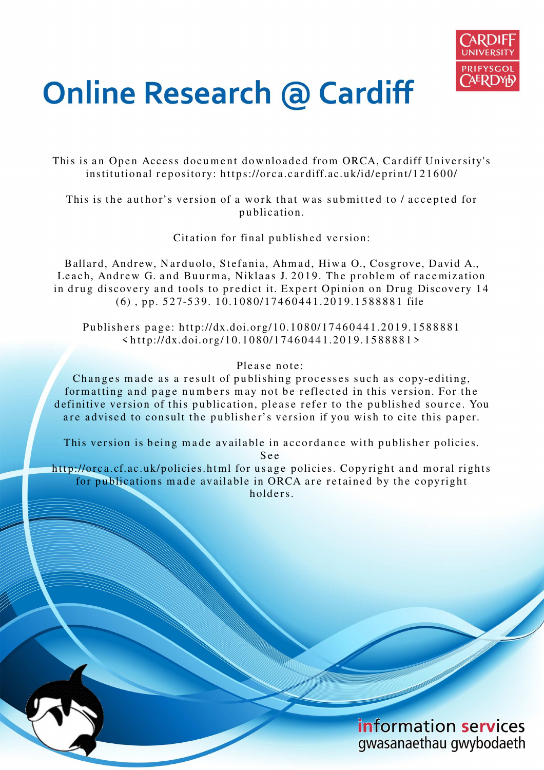

# **Online Research @ Cardiff**

This is an Open Access document downloaded from ORCA, Cardiff University's institutional repository: https://orca.cardiff.ac.uk/id/eprint/121600/

This is the author's version of a work that was submitted to / accepted for p u blication.

Citation for final published version:

Ballard, Andrew, Narduolo, Stefania, Ahmad, Hiwa O., Cosgrove, David A., Leach, Andrew G. and Buurma, Niklaas J. 2019. The problem of racemization in drug discovery and tools to predict it. Expert Opinion on Drug Discovery 14  $(6)$ , pp. 527-539. 10.1080/17460441.2019.1588881 file

Publishers page: http://dx.doi.org/10.1080/17460441.2019.1588881  $\langle$ http://dx.doi.org/10.1080/17460441.2019.1588881>

# Please note:

Changes made as a result of publishing processes such as copy-editing, formatting and page numbers may not be reflected in this version. For the definitive version of this publication, please refer to the published source. You are advised to consult the publisher's version if you wish to cite this paper.

This version is being made available in accordance with publisher policies. S e e

http://orca.cf.ac.uk/policies.html for usage policies. Copyright and moral rights for publications made available in ORCA are retained by the copyright holders

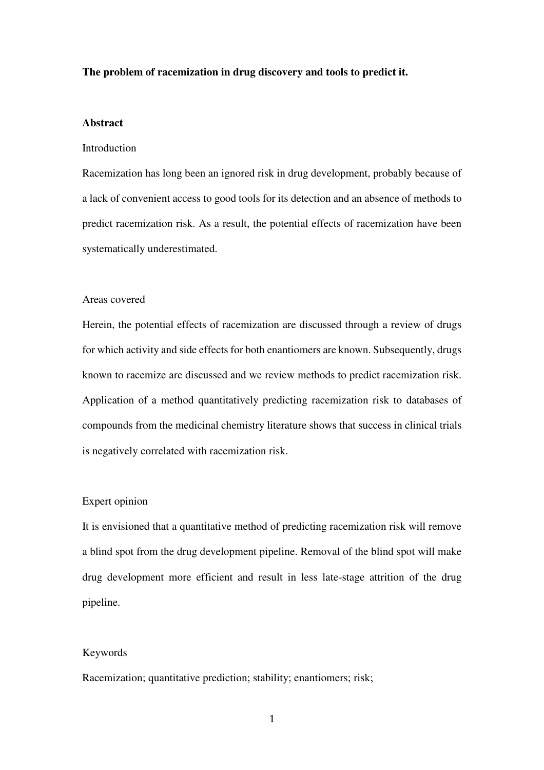#### **The problem of racemization in drug discovery and tools to predict it.**

# **Abstract**

# Introduction

Racemization has long been an ignored risk in drug development, probably because of a lack of convenient access to good tools for its detection and an absence of methods to predict racemization risk. As a result, the potential effects of racemization have been systematically underestimated.

#### Areas covered

Herein, the potential effects of racemization are discussed through a review of drugs for which activity and side effects for both enantiomers are known. Subsequently, drugs known to racemize are discussed and we review methods to predict racemization risk. Application of a method quantitatively predicting racemization risk to databases of compounds from the medicinal chemistry literature shows that success in clinical trials is negatively correlated with racemization risk.

# Expert opinion

It is envisioned that a quantitative method of predicting racemization risk will remove a blind spot from the drug development pipeline. Removal of the blind spot will make drug development more efficient and result in less late-stage attrition of the drug pipeline.

#### Keywords

Racemization; quantitative prediction; stability; enantiomers; risk;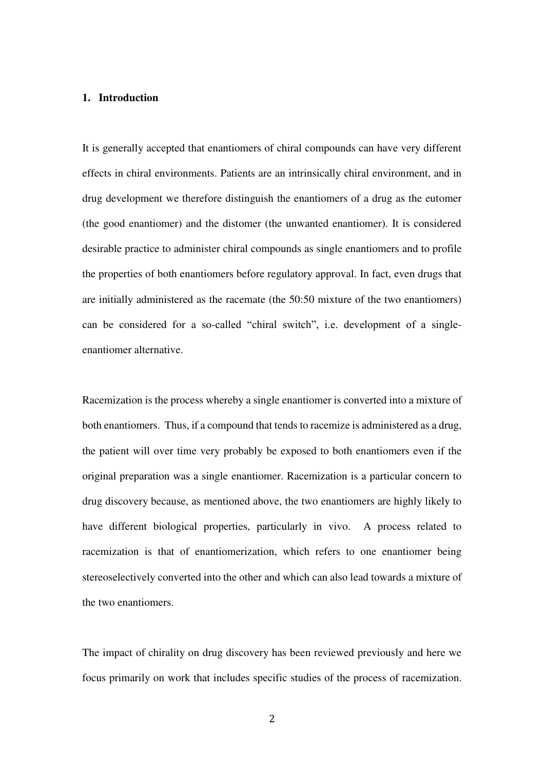# **1. Introduction**

It is generally accepted that enantiomers of chiral compounds can have very different effects in chiral environments. Patients are an intrinsically chiral environment, and in drug development we therefore distinguish the enantiomers of a drug as the eutomer (the good enantiomer) and the distomer (the unwanted enantiomer). It is considered desirable practice to administer chiral compounds as single enantiomers and to profile the properties of both enantiomers before regulatory approval. In fact, even drugs that are initially administered as the racemate (the 50:50 mixture of the two enantiomers) can be considered for a so-called "chiral switch", i.e. development of a singleenantiomer alternative.

Racemization is the process whereby a single enantiomer is converted into a mixture of both enantiomers. Thus, if a compound that tends to racemize is administered as a drug, the patient will over time very probably be exposed to both enantiomers even if the original preparation was a single enantiomer. Racemization is a particular concern to drug discovery because, as mentioned above, the two enantiomers are highly likely to have different biological properties, particularly in vivo. A process related to racemization is that of enantiomerization, which refers to one enantiomer being stereoselectively converted into the other and which can also lead towards a mixture of the two enantiomers.

The impact of chirality on drug discovery has been reviewed previously and here we focus primarily on work that includes specific studies of the process of racemization.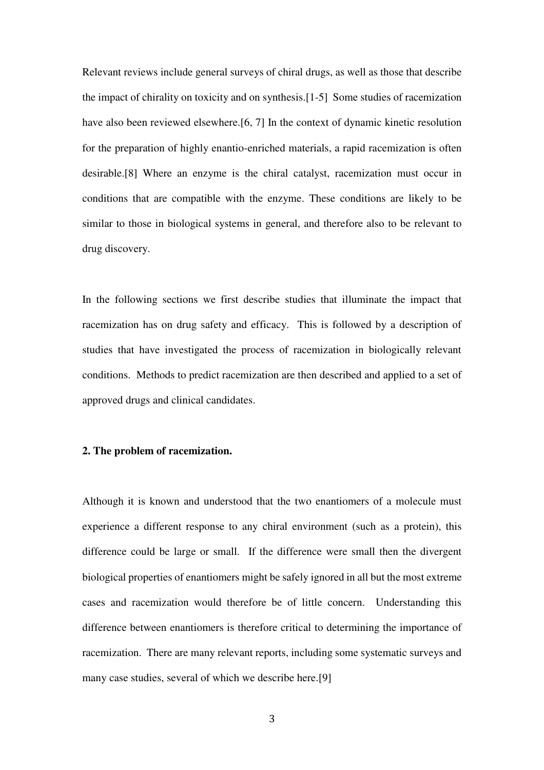Relevant reviews include general surveys of chiral drugs, as well as those that describe the impact of chirality on toxicity and on synthesis.[1-5] Some studies of racemization have also been reviewed elsewhere.[6, 7] In the context of dynamic kinetic resolution for the preparation of highly enantio-enriched materials, a rapid racemization is often desirable.[8] Where an enzyme is the chiral catalyst, racemization must occur in conditions that are compatible with the enzyme. These conditions are likely to be similar to those in biological systems in general, and therefore also to be relevant to drug discovery.

In the following sections we first describe studies that illuminate the impact that racemization has on drug safety and efficacy. This is followed by a description of studies that have investigated the process of racemization in biologically relevant conditions. Methods to predict racemization are then described and applied to a set of approved drugs and clinical candidates.

# **2. The problem of racemization.**

Although it is known and understood that the two enantiomers of a molecule must experience a different response to any chiral environment (such as a protein), this difference could be large or small. If the difference were small then the divergent biological properties of enantiomers might be safely ignored in all but the most extreme cases and racemization would therefore be of little concern. Understanding this difference between enantiomers is therefore critical to determining the importance of racemization. There are many relevant reports, including some systematic surveys and many case studies, several of which we describe here.[9]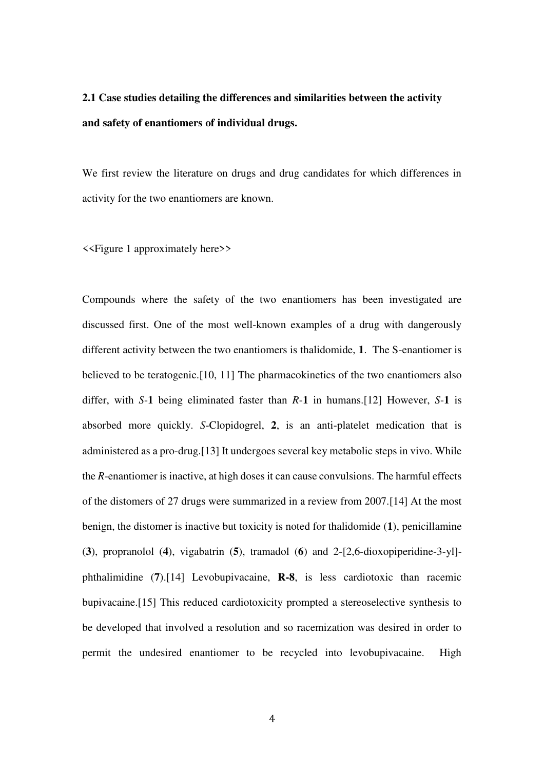# **2.1 Case studies detailing the differences and similarities between the activity and safety of enantiomers of individual drugs.**

We first review the literature on drugs and drug candidates for which differences in activity for the two enantiomers are known.

<<Figure 1 approximately here>>

Compounds where the safety of the two enantiomers has been investigated are discussed first. One of the most well-known examples of a drug with dangerously different activity between the two enantiomers is thalidomide, **1**. The S-enantiomer is believed to be teratogenic.[10, 11] The pharmacokinetics of the two enantiomers also differ, with *S*-**1** being eliminated faster than *R*-**1** in humans.[12] However, *S*-**1** is absorbed more quickly. *S*-Clopidogrel, **2**, is an anti-platelet medication that is administered as a pro-drug.[13] It undergoes several key metabolic steps in vivo. While the *R*-enantiomer is inactive, at high doses it can cause convulsions. The harmful effects of the distomers of 27 drugs were summarized in a review from 2007.[14] At the most benign, the distomer is inactive but toxicity is noted for thalidomide (**1**), penicillamine (**3**), propranolol (**4**), vigabatrin (**5**), tramadol (**6**) and 2-[2,6-dioxopiperidine-3-yl] phthalimidine (**7**).[14] Levobupivacaine, **R-8**, is less cardiotoxic than racemic bupivacaine.[15] This reduced cardiotoxicity prompted a stereoselective synthesis to be developed that involved a resolution and so racemization was desired in order to permit the undesired enantiomer to be recycled into levobupivacaine. High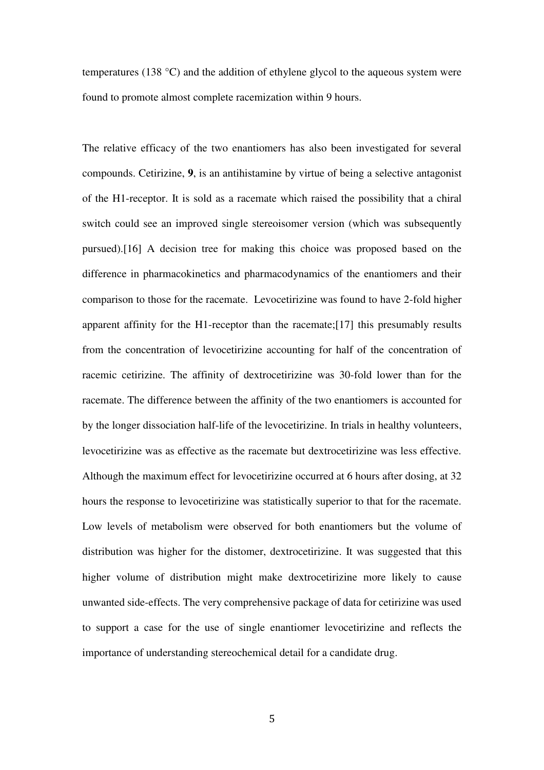temperatures (138 °C) and the addition of ethylene glycol to the aqueous system were found to promote almost complete racemization within 9 hours.

The relative efficacy of the two enantiomers has also been investigated for several compounds. Cetirizine, **9**, is an antihistamine by virtue of being a selective antagonist of the H1-receptor. It is sold as a racemate which raised the possibility that a chiral switch could see an improved single stereoisomer version (which was subsequently pursued).[16] A decision tree for making this choice was proposed based on the difference in pharmacokinetics and pharmacodynamics of the enantiomers and their comparison to those for the racemate. Levocetirizine was found to have 2-fold higher apparent affinity for the H1-receptor than the racemate;[17] this presumably results from the concentration of levocetirizine accounting for half of the concentration of racemic cetirizine. The affinity of dextrocetirizine was 30-fold lower than for the racemate. The difference between the affinity of the two enantiomers is accounted for by the longer dissociation half-life of the levocetirizine. In trials in healthy volunteers, levocetirizine was as effective as the racemate but dextrocetirizine was less effective. Although the maximum effect for levocetirizine occurred at 6 hours after dosing, at 32 hours the response to levocetirizine was statistically superior to that for the racemate. Low levels of metabolism were observed for both enantiomers but the volume of distribution was higher for the distomer, dextrocetirizine. It was suggested that this higher volume of distribution might make dextrocetirizine more likely to cause unwanted side-effects. The very comprehensive package of data for cetirizine was used to support a case for the use of single enantiomer levocetirizine and reflects the importance of understanding stereochemical detail for a candidate drug.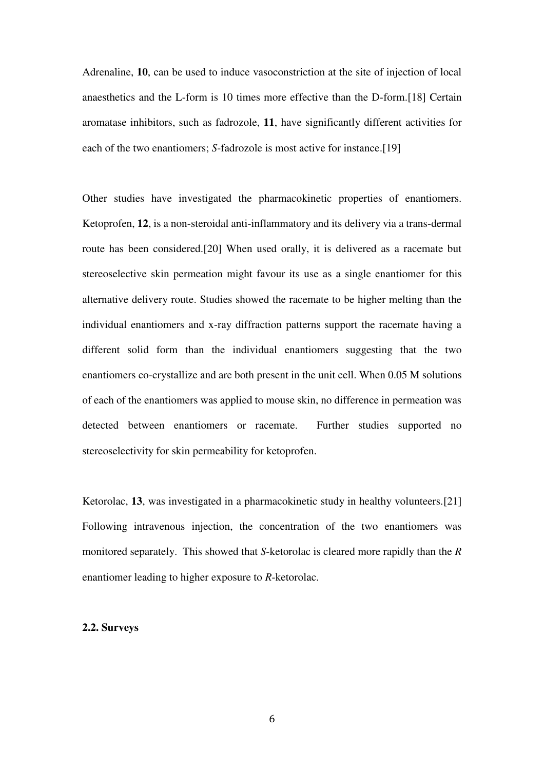Adrenaline, **10**, can be used to induce vasoconstriction at the site of injection of local anaesthetics and the L-form is 10 times more effective than the D-form.[18] Certain aromatase inhibitors, such as fadrozole, **11**, have significantly different activities for each of the two enantiomers; *S*-fadrozole is most active for instance.<sup>[19]</sup>

Other studies have investigated the pharmacokinetic properties of enantiomers. Ketoprofen, **12**, is a non-steroidal anti-inflammatory and its delivery via a trans-dermal route has been considered.[20] When used orally, it is delivered as a racemate but stereoselective skin permeation might favour its use as a single enantiomer for this alternative delivery route. Studies showed the racemate to be higher melting than the individual enantiomers and x-ray diffraction patterns support the racemate having a different solid form than the individual enantiomers suggesting that the two enantiomers co-crystallize and are both present in the unit cell. When 0.05 M solutions of each of the enantiomers was applied to mouse skin, no difference in permeation was detected between enantiomers or racemate. Further studies supported no stereoselectivity for skin permeability for ketoprofen.

Ketorolac, 13, was investigated in a pharmacokinetic study in healthy volunteers.<sup>[21]</sup> Following intravenous injection, the concentration of the two enantiomers was monitored separately. This showed that *S*-ketorolac is cleared more rapidly than the *R* enantiomer leading to higher exposure to *R*-ketorolac.

# **2.2. Surveys**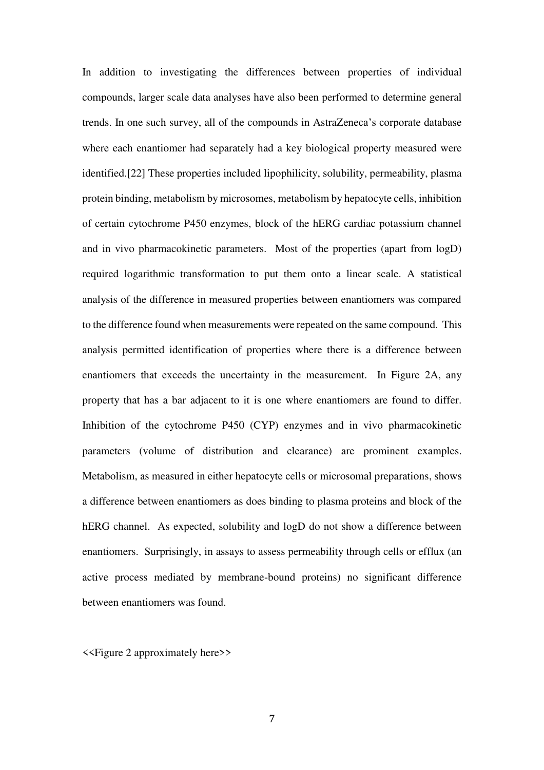In addition to investigating the differences between properties of individual compounds, larger scale data analyses have also been performed to determine general trends. In one such survey, all of the compounds in AstraZeneca's corporate database where each enantiomer had separately had a key biological property measured were identified.[22] These properties included lipophilicity, solubility, permeability, plasma protein binding, metabolism by microsomes, metabolism by hepatocyte cells, inhibition of certain cytochrome P450 enzymes, block of the hERG cardiac potassium channel and in vivo pharmacokinetic parameters. Most of the properties (apart from logD) required logarithmic transformation to put them onto a linear scale. A statistical analysis of the difference in measured properties between enantiomers was compared to the difference found when measurements were repeated on the same compound. This analysis permitted identification of properties where there is a difference between enantiomers that exceeds the uncertainty in the measurement. In Figure 2A, any property that has a bar adjacent to it is one where enantiomers are found to differ. Inhibition of the cytochrome P450 (CYP) enzymes and in vivo pharmacokinetic parameters (volume of distribution and clearance) are prominent examples. Metabolism, as measured in either hepatocyte cells or microsomal preparations, shows a difference between enantiomers as does binding to plasma proteins and block of the hERG channel. As expected, solubility and logD do not show a difference between enantiomers. Surprisingly, in assays to assess permeability through cells or efflux (an active process mediated by membrane-bound proteins) no significant difference between enantiomers was found.

<<Figure 2 approximately here>>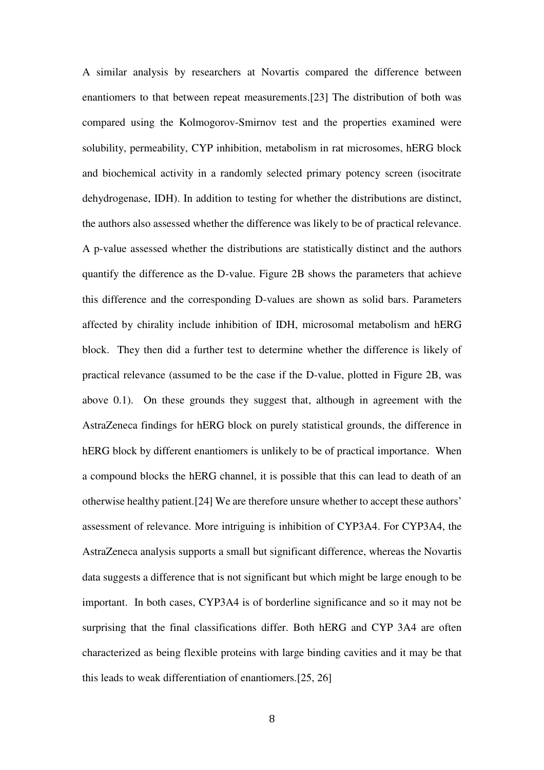A similar analysis by researchers at Novartis compared the difference between enantiomers to that between repeat measurements.[23] The distribution of both was compared using the Kolmogorov-Smirnov test and the properties examined were solubility, permeability, CYP inhibition, metabolism in rat microsomes, hERG block and biochemical activity in a randomly selected primary potency screen (isocitrate dehydrogenase, IDH). In addition to testing for whether the distributions are distinct, the authors also assessed whether the difference was likely to be of practical relevance. A p-value assessed whether the distributions are statistically distinct and the authors quantify the difference as the D-value. Figure 2B shows the parameters that achieve this difference and the corresponding D-values are shown as solid bars. Parameters affected by chirality include inhibition of IDH, microsomal metabolism and hERG block. They then did a further test to determine whether the difference is likely of practical relevance (assumed to be the case if the D-value, plotted in Figure 2B, was above 0.1). On these grounds they suggest that, although in agreement with the AstraZeneca findings for hERG block on purely statistical grounds, the difference in hERG block by different enantiomers is unlikely to be of practical importance. When a compound blocks the hERG channel, it is possible that this can lead to death of an otherwise healthy patient.[24] We are therefore unsure whether to accept these authors' assessment of relevance. More intriguing is inhibition of CYP3A4. For CYP3A4, the AstraZeneca analysis supports a small but significant difference, whereas the Novartis data suggests a difference that is not significant but which might be large enough to be important. In both cases, CYP3A4 is of borderline significance and so it may not be surprising that the final classifications differ. Both hERG and CYP 3A4 are often characterized as being flexible proteins with large binding cavities and it may be that this leads to weak differentiation of enantiomers.[25, 26]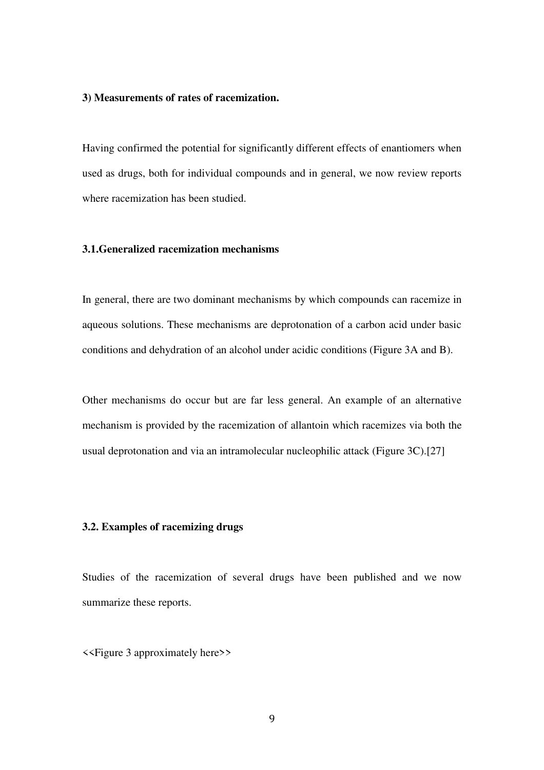#### **3) Measurements of rates of racemization.**

Having confirmed the potential for significantly different effects of enantiomers when used as drugs, both for individual compounds and in general, we now review reports where racemization has been studied.

# **3.1.Generalized racemization mechanisms**

In general, there are two dominant mechanisms by which compounds can racemize in aqueous solutions. These mechanisms are deprotonation of a carbon acid under basic conditions and dehydration of an alcohol under acidic conditions (Figure 3A and B).

Other mechanisms do occur but are far less general. An example of an alternative mechanism is provided by the racemization of allantoin which racemizes via both the usual deprotonation and via an intramolecular nucleophilic attack (Figure 3C).[27]

# **3.2. Examples of racemizing drugs**

Studies of the racemization of several drugs have been published and we now summarize these reports.

<<Figure 3 approximately here>>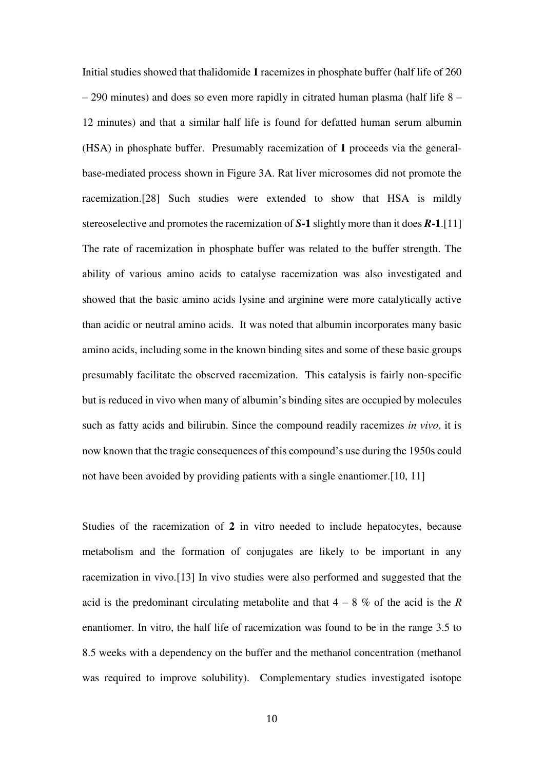Initial studies showed that thalidomide **1** racemizes in phosphate buffer (half life of 260 – 290 minutes) and does so even more rapidly in citrated human plasma (half life 8 – 12 minutes) and that a similar half life is found for defatted human serum albumin (HSA) in phosphate buffer. Presumably racemization of **1** proceeds via the generalbase-mediated process shown in Figure 3A. Rat liver microsomes did not promote the racemization.[28] Such studies were extended to show that HSA is mildly stereoselective and promotes the racemization of *S***-1** slightly more than it does *R***-1**.[11] The rate of racemization in phosphate buffer was related to the buffer strength. The ability of various amino acids to catalyse racemization was also investigated and showed that the basic amino acids lysine and arginine were more catalytically active than acidic or neutral amino acids. It was noted that albumin incorporates many basic amino acids, including some in the known binding sites and some of these basic groups presumably facilitate the observed racemization. This catalysis is fairly non-specific but is reduced in vivo when many of albumin's binding sites are occupied by molecules such as fatty acids and bilirubin. Since the compound readily racemizes *in vivo*, it is now known that the tragic consequences of this compound's use during the 1950s could not have been avoided by providing patients with a single enantiomer.[10, 11]

Studies of the racemization of **2** in vitro needed to include hepatocytes, because metabolism and the formation of conjugates are likely to be important in any racemization in vivo.[13] In vivo studies were also performed and suggested that the acid is the predominant circulating metabolite and that  $4 - 8$  % of the acid is the *R* enantiomer. In vitro, the half life of racemization was found to be in the range 3.5 to 8.5 weeks with a dependency on the buffer and the methanol concentration (methanol was required to improve solubility). Complementary studies investigated isotope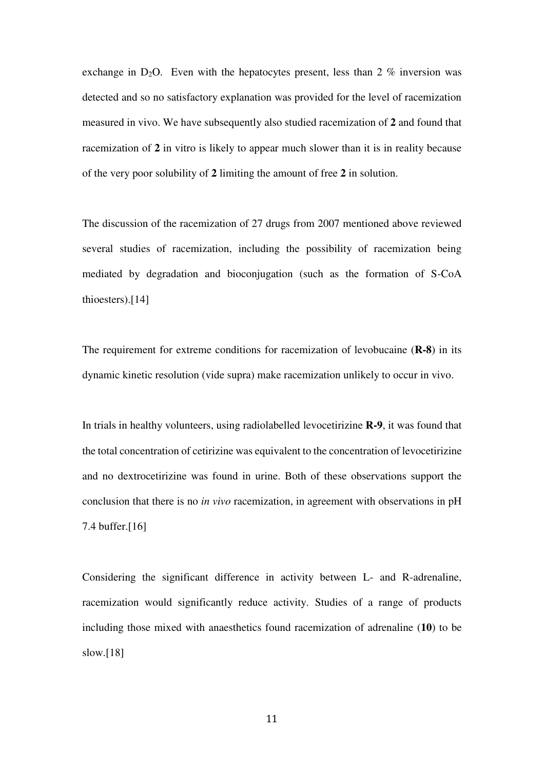exchange in D<sub>2</sub>O. Even with the hepatocytes present, less than  $2\%$  inversion was detected and so no satisfactory explanation was provided for the level of racemization measured in vivo. We have subsequently also studied racemization of **2** and found that racemization of **2** in vitro is likely to appear much slower than it is in reality because of the very poor solubility of **2** limiting the amount of free **2** in solution.

The discussion of the racemization of 27 drugs from 2007 mentioned above reviewed several studies of racemization, including the possibility of racemization being mediated by degradation and bioconjugation (such as the formation of S-CoA thioesters).[14]

The requirement for extreme conditions for racemization of levobucaine (**R-8**) in its dynamic kinetic resolution (vide supra) make racemization unlikely to occur in vivo.

In trials in healthy volunteers, using radiolabelled levocetirizine **R-9**, it was found that the total concentration of cetirizine was equivalent to the concentration of levocetirizine and no dextrocetirizine was found in urine. Both of these observations support the conclusion that there is no *in vivo* racemization, in agreement with observations in pH 7.4 buffer.[16]

Considering the significant difference in activity between L- and R-adrenaline, racemization would significantly reduce activity. Studies of a range of products including those mixed with anaesthetics found racemization of adrenaline (**10**) to be slow.[18]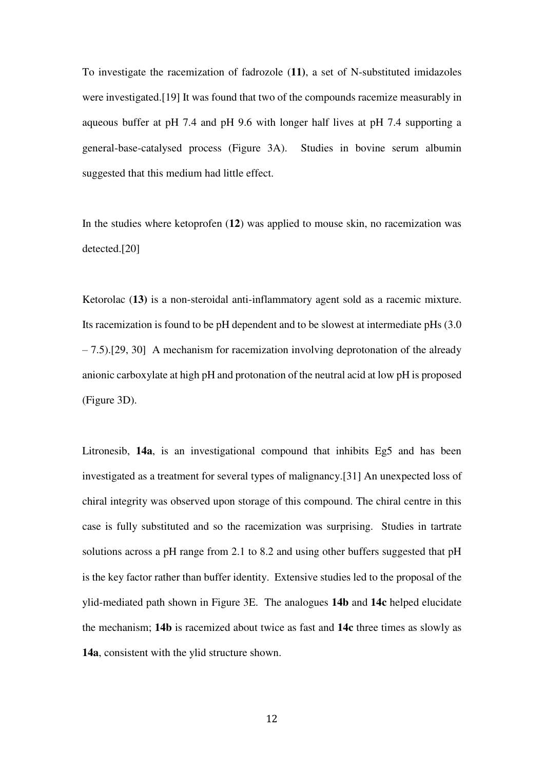To investigate the racemization of fadrozole (**11)**, a set of N-substituted imidazoles were investigated.[19] It was found that two of the compounds racemize measurably in aqueous buffer at pH 7.4 and pH 9.6 with longer half lives at pH 7.4 supporting a general-base-catalysed process (Figure 3A). Studies in bovine serum albumin suggested that this medium had little effect.

In the studies where ketoprofen (**12**) was applied to mouse skin, no racemization was detected.[20]

Ketorolac (**13)** is a non-steroidal anti-inflammatory agent sold as a racemic mixture. Its racemization is found to be pH dependent and to be slowest at intermediate pHs (3.0 – 7.5).[29, 30] A mechanism for racemization involving deprotonation of the already anionic carboxylate at high pH and protonation of the neutral acid at low pH is proposed (Figure 3D).

Litronesib, **14a**, is an investigational compound that inhibits Eg5 and has been investigated as a treatment for several types of malignancy.[31] An unexpected loss of chiral integrity was observed upon storage of this compound. The chiral centre in this case is fully substituted and so the racemization was surprising. Studies in tartrate solutions across a pH range from 2.1 to 8.2 and using other buffers suggested that pH is the key factor rather than buffer identity. Extensive studies led to the proposal of the ylid-mediated path shown in Figure 3E. The analogues **14b** and **14c** helped elucidate the mechanism; **14b** is racemized about twice as fast and **14c** three times as slowly as **14a**, consistent with the ylid structure shown.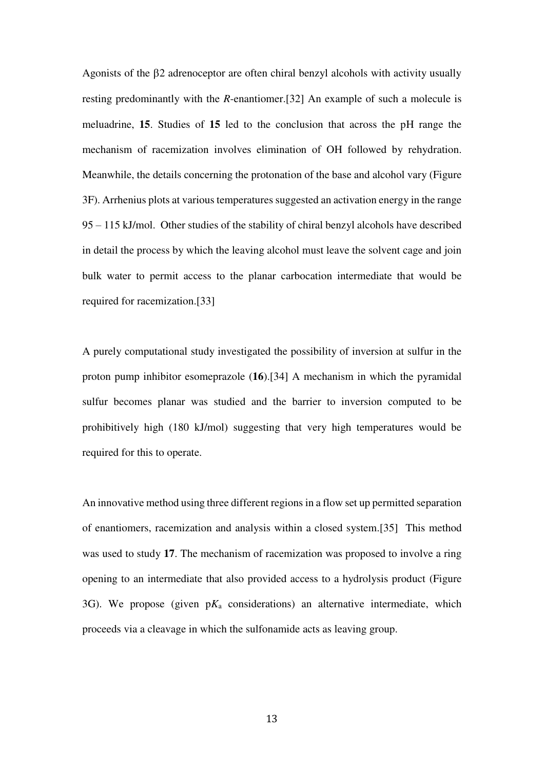Agonists of the  $\beta$ 2 adrenoceptor are often chiral benzyl alcohols with activity usually resting predominantly with the *R*-enantiomer.[32] An example of such a molecule is meluadrine, **15**. Studies of **15** led to the conclusion that across the pH range the mechanism of racemization involves elimination of OH followed by rehydration. Meanwhile, the details concerning the protonation of the base and alcohol vary (Figure 3F). Arrhenius plots at various temperatures suggested an activation energy in the range 95 – 115 kJ/mol. Other studies of the stability of chiral benzyl alcohols have described in detail the process by which the leaving alcohol must leave the solvent cage and join bulk water to permit access to the planar carbocation intermediate that would be required for racemization.[33]

A purely computational study investigated the possibility of inversion at sulfur in the proton pump inhibitor esomeprazole (**16**).[34] A mechanism in which the pyramidal sulfur becomes planar was studied and the barrier to inversion computed to be prohibitively high (180 kJ/mol) suggesting that very high temperatures would be required for this to operate.

An innovative method using three different regions in a flow set up permitted separation of enantiomers, racemization and analysis within a closed system.[35] This method was used to study **17**. The mechanism of racemization was proposed to involve a ring opening to an intermediate that also provided access to a hydrolysis product (Figure 3G). We propose (given p*K*a considerations) an alternative intermediate, which proceeds via a cleavage in which the sulfonamide acts as leaving group.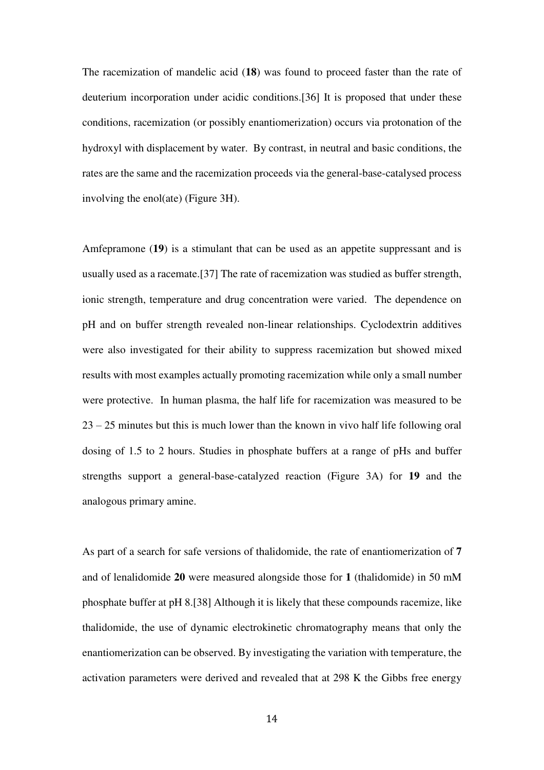The racemization of mandelic acid (**18**) was found to proceed faster than the rate of deuterium incorporation under acidic conditions.[36] It is proposed that under these conditions, racemization (or possibly enantiomerization) occurs via protonation of the hydroxyl with displacement by water. By contrast, in neutral and basic conditions, the rates are the same and the racemization proceeds via the general-base-catalysed process involving the enol(ate) (Figure 3H).

Amfepramone (**19**) is a stimulant that can be used as an appetite suppressant and is usually used as a racemate.[37] The rate of racemization was studied as buffer strength, ionic strength, temperature and drug concentration were varied. The dependence on pH and on buffer strength revealed non-linear relationships. Cyclodextrin additives were also investigated for their ability to suppress racemization but showed mixed results with most examples actually promoting racemization while only a small number were protective. In human plasma, the half life for racemization was measured to be 23 – 25 minutes but this is much lower than the known in vivo half life following oral dosing of 1.5 to 2 hours. Studies in phosphate buffers at a range of pHs and buffer strengths support a general-base-catalyzed reaction (Figure 3A) for **19** and the analogous primary amine.

As part of a search for safe versions of thalidomide, the rate of enantiomerization of **7** and of lenalidomide **20** were measured alongside those for **1** (thalidomide) in 50 mM phosphate buffer at pH 8.[38] Although it is likely that these compounds racemize, like thalidomide, the use of dynamic electrokinetic chromatography means that only the enantiomerization can be observed. By investigating the variation with temperature, the activation parameters were derived and revealed that at 298 K the Gibbs free energy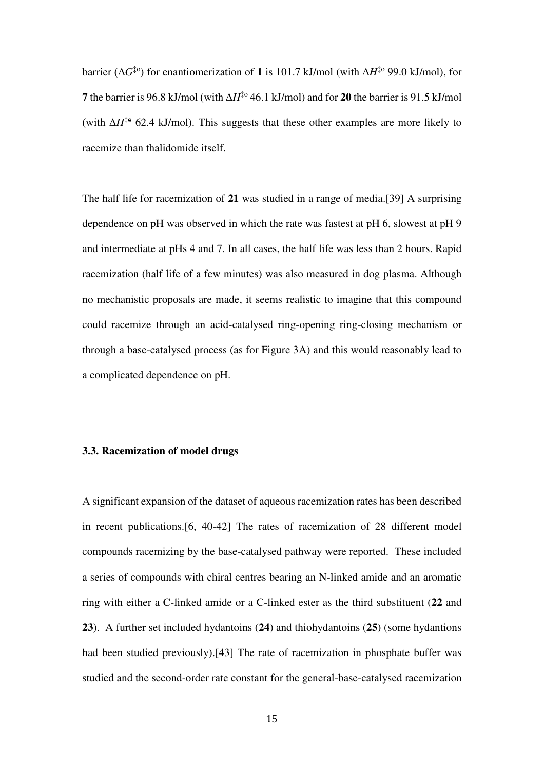barrier ( $\Delta G^{\dagger}$ <sup>e</sup>) for enantiomerization of **1** is 101.7 kJ/mol (with  $\Delta H^{\dagger}$ <sup>e</sup> 99.0 kJ/mol), for **7** the barrier is 96.8 kJ/mol (with  $\Delta H^{\ddagger 0}$  46.1 kJ/mol) and for **20** the barrier is 91.5 kJ/mol (with  $\Delta H^{\ddagger}$ <sup>e</sup> 62.4 kJ/mol). This suggests that these other examples are more likely to racemize than thalidomide itself.

The half life for racemization of **21** was studied in a range of media.[39] A surprising dependence on pH was observed in which the rate was fastest at pH 6, slowest at pH 9 and intermediate at pHs 4 and 7. In all cases, the half life was less than 2 hours. Rapid racemization (half life of a few minutes) was also measured in dog plasma. Although no mechanistic proposals are made, it seems realistic to imagine that this compound could racemize through an acid-catalysed ring-opening ring-closing mechanism or through a base-catalysed process (as for Figure 3A) and this would reasonably lead to a complicated dependence on pH.

# **3.3. Racemization of model drugs**

A significant expansion of the dataset of aqueous racemization rates has been described in recent publications.[6, 40-42] The rates of racemization of 28 different model compounds racemizing by the base-catalysed pathway were reported. These included a series of compounds with chiral centres bearing an N-linked amide and an aromatic ring with either a C-linked amide or a C-linked ester as the third substituent (**22** and **23**). A further set included hydantoins (**24**) and thiohydantoins (**25**) (some hydantions had been studied previously).[43] The rate of racemization in phosphate buffer was studied and the second-order rate constant for the general-base-catalysed racemization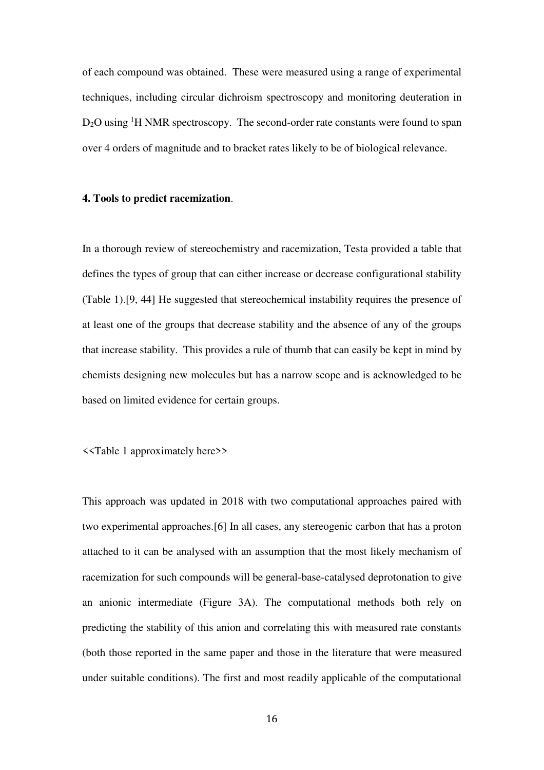of each compound was obtained. These were measured using a range of experimental techniques, including circular dichroism spectroscopy and monitoring deuteration in  $D_2O$  using <sup>1</sup>H NMR spectroscopy. The second-order rate constants were found to span over 4 orders of magnitude and to bracket rates likely to be of biological relevance.

#### **4. Tools to predict racemization**.

In a thorough review of stereochemistry and racemization, Testa provided a table that defines the types of group that can either increase or decrease configurational stability (Table 1).[9, 44] He suggested that stereochemical instability requires the presence of at least one of the groups that decrease stability and the absence of any of the groups that increase stability. This provides a rule of thumb that can easily be kept in mind by chemists designing new molecules but has a narrow scope and is acknowledged to be based on limited evidence for certain groups.

```
<<Table 1 approximately here>>
```
This approach was updated in 2018 with two computational approaches paired with two experimental approaches.[6] In all cases, any stereogenic carbon that has a proton attached to it can be analysed with an assumption that the most likely mechanism of racemization for such compounds will be general-base-catalysed deprotonation to give an anionic intermediate (Figure 3A). The computational methods both rely on predicting the stability of this anion and correlating this with measured rate constants (both those reported in the same paper and those in the literature that were measured under suitable conditions). The first and most readily applicable of the computational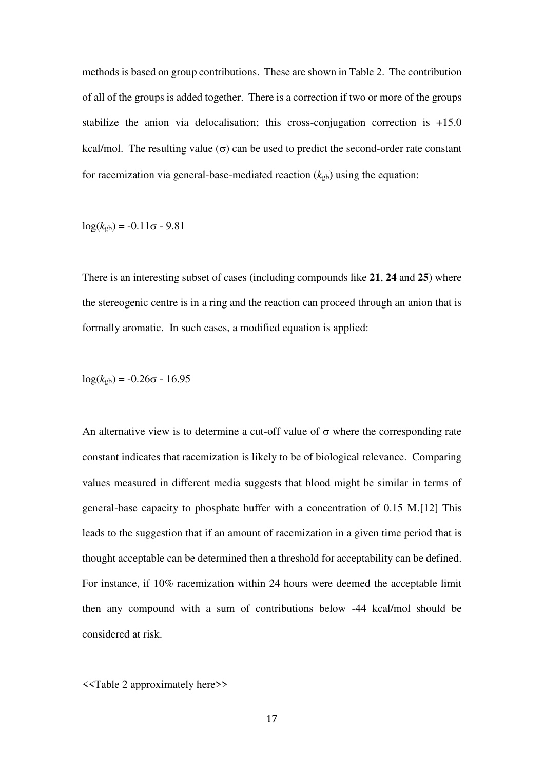methods is based on group contributions. These are shown in Table 2. The contribution of all of the groups is added together. There is a correction if two or more of the groups stabilize the anion via delocalisation; this cross-conjugation correction is +15.0 kcal/mol. The resulting value  $(\sigma)$  can be used to predict the second-order rate constant for racemization via general-base-mediated reaction  $(k_{gb})$  using the equation:

 $log(k_{\text{gb}}) = -0.11\sigma - 9.81$ 

There is an interesting subset of cases (including compounds like **21**, **24** and **25**) where the stereogenic centre is in a ring and the reaction can proceed through an anion that is formally aromatic. In such cases, a modified equation is applied:

$$
\log(k_{\rm gb}) = -0.26\sigma - 16.95
$$

An alternative view is to determine a cut-off value of  $\sigma$  where the corresponding rate constant indicates that racemization is likely to be of biological relevance. Comparing values measured in different media suggests that blood might be similar in terms of general-base capacity to phosphate buffer with a concentration of 0.15 M.[12] This leads to the suggestion that if an amount of racemization in a given time period that is thought acceptable can be determined then a threshold for acceptability can be defined. For instance, if 10% racemization within 24 hours were deemed the acceptable limit then any compound with a sum of contributions below -44 kcal/mol should be considered at risk.

<<Table 2 approximately here>>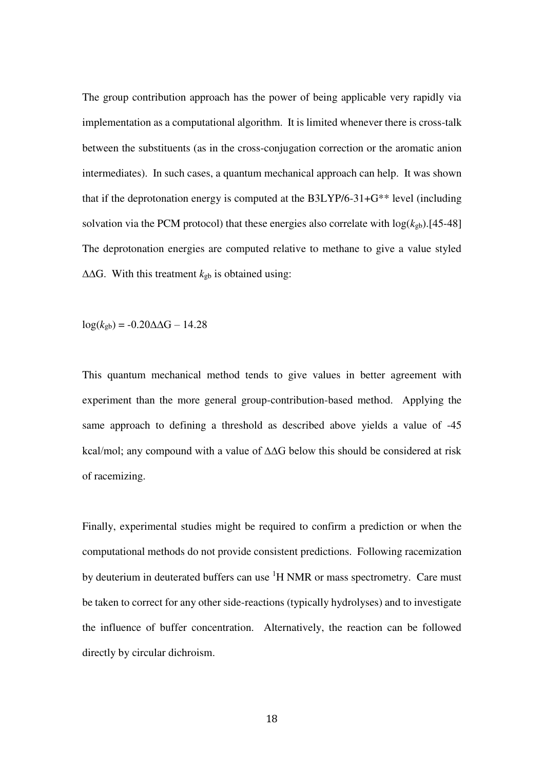The group contribution approach has the power of being applicable very rapidly via implementation as a computational algorithm. It is limited whenever there is cross-talk between the substituents (as in the cross-conjugation correction or the aromatic anion intermediates). In such cases, a quantum mechanical approach can help. It was shown that if the deprotonation energy is computed at the B3LYP/6-31+G\*\* level (including solvation via the PCM protocol) that these energies also correlate with  $log(k_{gb})$ .[45-48] The deprotonation energies are computed relative to methane to give a value styled ∆∆G. With this treatment *k*gb is obtained using:

log(*k*gb) = -0.20∆∆G – 14.28

This quantum mechanical method tends to give values in better agreement with experiment than the more general group-contribution-based method. Applying the same approach to defining a threshold as described above yields a value of -45 kcal/mol; any compound with a value of ∆∆G below this should be considered at risk of racemizing.

Finally, experimental studies might be required to confirm a prediction or when the computational methods do not provide consistent predictions. Following racemization by deuterium in deuterated buffers can use <sup>1</sup>H NMR or mass spectrometry. Care must be taken to correct for any other side-reactions (typically hydrolyses) and to investigate the influence of buffer concentration. Alternatively, the reaction can be followed directly by circular dichroism.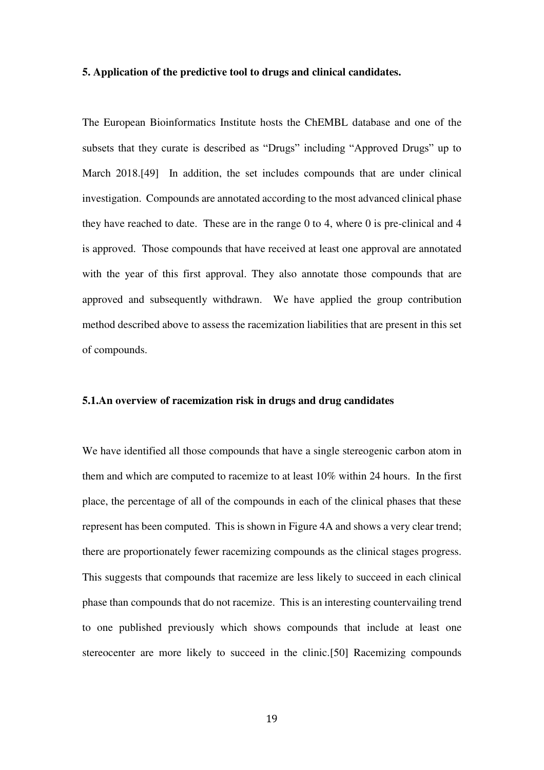#### **5. Application of the predictive tool to drugs and clinical candidates.**

The European Bioinformatics Institute hosts the ChEMBL database and one of the subsets that they curate is described as "Drugs" including "Approved Drugs" up to March 2018.[49] In addition, the set includes compounds that are under clinical investigation. Compounds are annotated according to the most advanced clinical phase they have reached to date. These are in the range 0 to 4, where 0 is pre-clinical and 4 is approved. Those compounds that have received at least one approval are annotated with the year of this first approval. They also annotate those compounds that are approved and subsequently withdrawn. We have applied the group contribution method described above to assess the racemization liabilities that are present in this set of compounds.

#### **5.1.An overview of racemization risk in drugs and drug candidates**

We have identified all those compounds that have a single stereogenic carbon atom in them and which are computed to racemize to at least 10% within 24 hours. In the first place, the percentage of all of the compounds in each of the clinical phases that these represent has been computed. This is shown in Figure 4A and shows a very clear trend; there are proportionately fewer racemizing compounds as the clinical stages progress. This suggests that compounds that racemize are less likely to succeed in each clinical phase than compounds that do not racemize. This is an interesting countervailing trend to one published previously which shows compounds that include at least one stereocenter are more likely to succeed in the clinic.[50] Racemizing compounds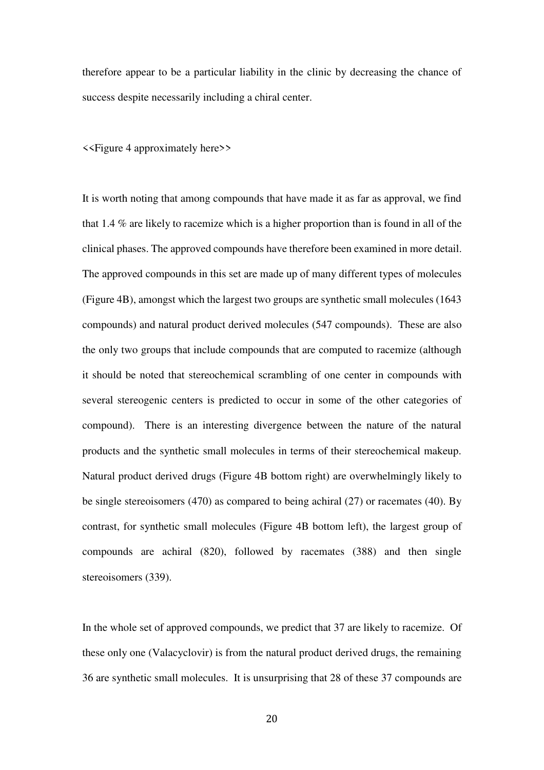therefore appear to be a particular liability in the clinic by decreasing the chance of success despite necessarily including a chiral center.

<<Figure 4 approximately here>>

It is worth noting that among compounds that have made it as far as approval, we find that 1.4 % are likely to racemize which is a higher proportion than is found in all of the clinical phases. The approved compounds have therefore been examined in more detail. The approved compounds in this set are made up of many different types of molecules (Figure 4B), amongst which the largest two groups are synthetic small molecules (1643 compounds) and natural product derived molecules (547 compounds). These are also the only two groups that include compounds that are computed to racemize (although it should be noted that stereochemical scrambling of one center in compounds with several stereogenic centers is predicted to occur in some of the other categories of compound). There is an interesting divergence between the nature of the natural products and the synthetic small molecules in terms of their stereochemical makeup. Natural product derived drugs (Figure 4B bottom right) are overwhelmingly likely to be single stereoisomers (470) as compared to being achiral (27) or racemates (40). By contrast, for synthetic small molecules (Figure 4B bottom left), the largest group of compounds are achiral (820), followed by racemates (388) and then single stereoisomers (339).

In the whole set of approved compounds, we predict that 37 are likely to racemize. Of these only one (Valacyclovir) is from the natural product derived drugs, the remaining 36 are synthetic small molecules. It is unsurprising that 28 of these 37 compounds are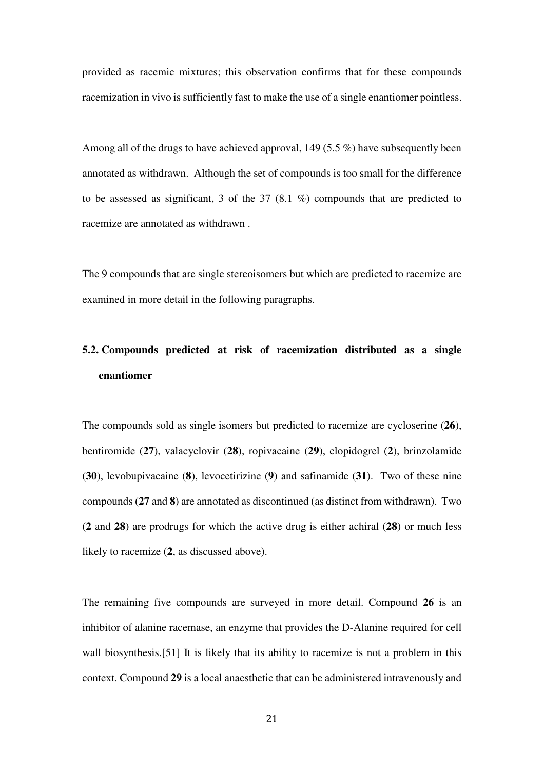provided as racemic mixtures; this observation confirms that for these compounds racemization in vivo is sufficiently fast to make the use of a single enantiomer pointless.

Among all of the drugs to have achieved approval, 149 (5.5 %) have subsequently been annotated as withdrawn. Although the set of compounds is too small for the difference to be assessed as significant, 3 of the 37 (8.1 %) compounds that are predicted to racemize are annotated as withdrawn .

The 9 compounds that are single stereoisomers but which are predicted to racemize are examined in more detail in the following paragraphs.

# **5.2. Compounds predicted at risk of racemization distributed as a single enantiomer**

The compounds sold as single isomers but predicted to racemize are cycloserine (**26**), bentiromide (**27**), valacyclovir (**28**), ropivacaine (**29**), clopidogrel (**2**), brinzolamide (**30**), levobupivacaine (**8**), levocetirizine (**9**) and safinamide (**31**). Two of these nine compounds (**27** and **8**) are annotated as discontinued (as distinct from withdrawn). Two (**2** and **28**) are prodrugs for which the active drug is either achiral (**28**) or much less likely to racemize (**2**, as discussed above).

The remaining five compounds are surveyed in more detail. Compound **26** is an inhibitor of alanine racemase, an enzyme that provides the D-Alanine required for cell wall biosynthesis.[51] It is likely that its ability to racemize is not a problem in this context. Compound **29** is a local anaesthetic that can be administered intravenously and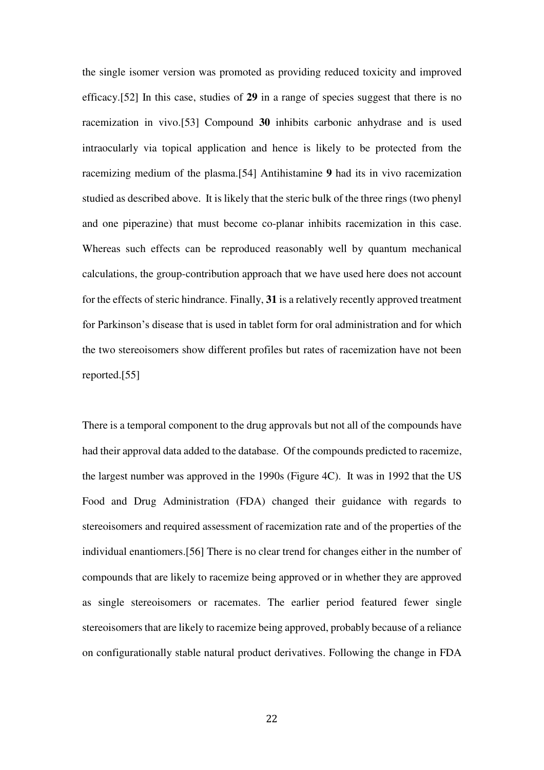the single isomer version was promoted as providing reduced toxicity and improved efficacy.[52] In this case, studies of **29** in a range of species suggest that there is no racemization in vivo.[53] Compound **30** inhibits carbonic anhydrase and is used intraocularly via topical application and hence is likely to be protected from the racemizing medium of the plasma.[54] Antihistamine **9** had its in vivo racemization studied as described above. It is likely that the steric bulk of the three rings (two phenyl and one piperazine) that must become co-planar inhibits racemization in this case. Whereas such effects can be reproduced reasonably well by quantum mechanical calculations, the group-contribution approach that we have used here does not account for the effects of steric hindrance. Finally, **31** is a relatively recently approved treatment for Parkinson's disease that is used in tablet form for oral administration and for which the two stereoisomers show different profiles but rates of racemization have not been reported.[55]

There is a temporal component to the drug approvals but not all of the compounds have had their approval data added to the database. Of the compounds predicted to racemize, the largest number was approved in the 1990s (Figure 4C). It was in 1992 that the US Food and Drug Administration (FDA) changed their guidance with regards to stereoisomers and required assessment of racemization rate and of the properties of the individual enantiomers.[56] There is no clear trend for changes either in the number of compounds that are likely to racemize being approved or in whether they are approved as single stereoisomers or racemates. The earlier period featured fewer single stereoisomers that are likely to racemize being approved, probably because of a reliance on configurationally stable natural product derivatives. Following the change in FDA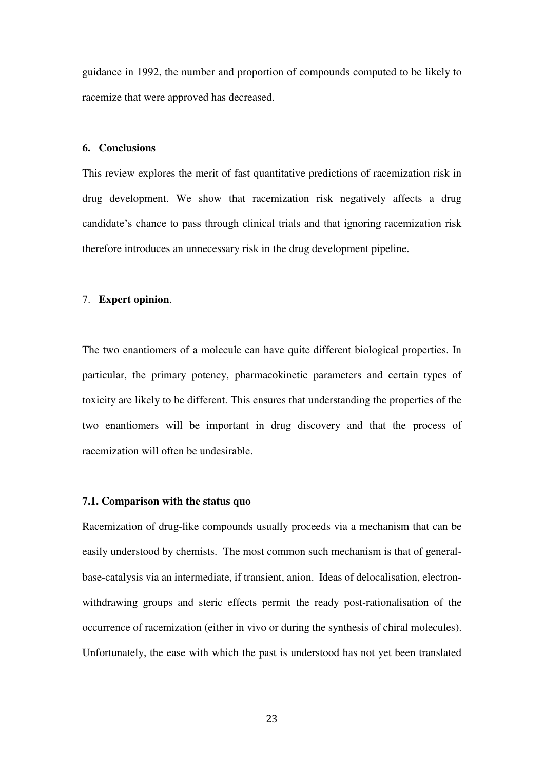guidance in 1992, the number and proportion of compounds computed to be likely to racemize that were approved has decreased.

# **6. Conclusions**

This review explores the merit of fast quantitative predictions of racemization risk in drug development. We show that racemization risk negatively affects a drug candidate's chance to pass through clinical trials and that ignoring racemization risk therefore introduces an unnecessary risk in the drug development pipeline.

# 7. **Expert opinion**.

The two enantiomers of a molecule can have quite different biological properties. In particular, the primary potency, pharmacokinetic parameters and certain types of toxicity are likely to be different. This ensures that understanding the properties of the two enantiomers will be important in drug discovery and that the process of racemization will often be undesirable.

#### **7.1. Comparison with the status quo**

Racemization of drug-like compounds usually proceeds via a mechanism that can be easily understood by chemists. The most common such mechanism is that of generalbase-catalysis via an intermediate, if transient, anion. Ideas of delocalisation, electronwithdrawing groups and steric effects permit the ready post-rationalisation of the occurrence of racemization (either in vivo or during the synthesis of chiral molecules). Unfortunately, the ease with which the past is understood has not yet been translated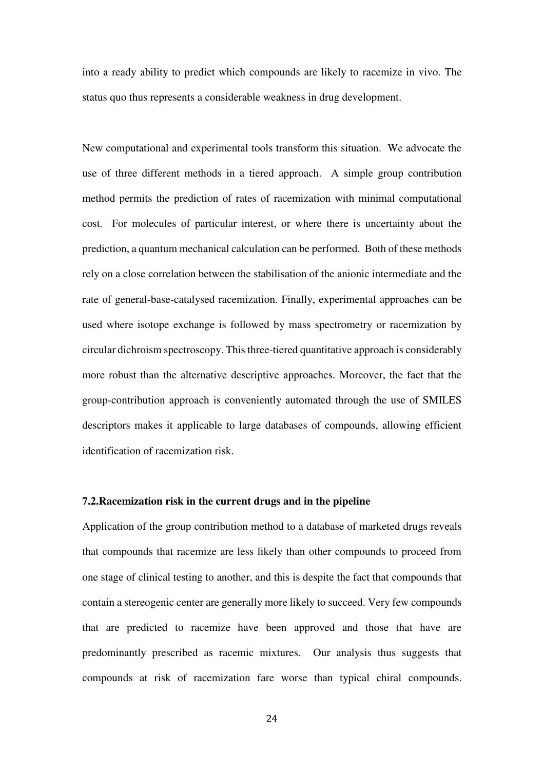into a ready ability to predict which compounds are likely to racemize in vivo. The status quo thus represents a considerable weakness in drug development.

New computational and experimental tools transform this situation. We advocate the use of three different methods in a tiered approach. A simple group contribution method permits the prediction of rates of racemization with minimal computational cost. For molecules of particular interest, or where there is uncertainty about the prediction, a quantum mechanical calculation can be performed. Both of these methods rely on a close correlation between the stabilisation of the anionic intermediate and the rate of general-base-catalysed racemization. Finally, experimental approaches can be used where isotope exchange is followed by mass spectrometry or racemization by circular dichroism spectroscopy. This three-tiered quantitative approach is considerably more robust than the alternative descriptive approaches. Moreover, the fact that the group-contribution approach is conveniently automated through the use of SMILES descriptors makes it applicable to large databases of compounds, allowing efficient identification of racemization risk.

#### **7.2.Racemization risk in the current drugs and in the pipeline**

Application of the group contribution method to a database of marketed drugs reveals that compounds that racemize are less likely than other compounds to proceed from one stage of clinical testing to another, and this is despite the fact that compounds that contain a stereogenic center are generally more likely to succeed. Very few compounds that are predicted to racemize have been approved and those that have are predominantly prescribed as racemic mixtures. Our analysis thus suggests that compounds at risk of racemization fare worse than typical chiral compounds.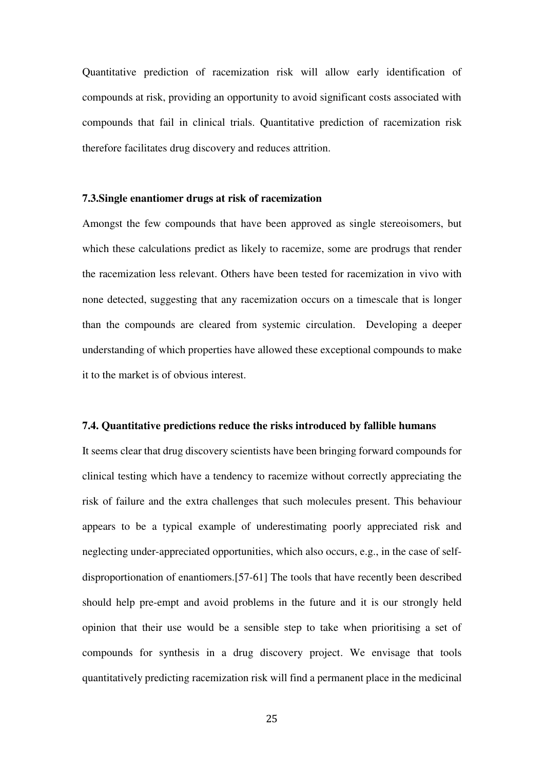Quantitative prediction of racemization risk will allow early identification of compounds at risk, providing an opportunity to avoid significant costs associated with compounds that fail in clinical trials. Quantitative prediction of racemization risk therefore facilitates drug discovery and reduces attrition.

# **7.3.Single enantiomer drugs at risk of racemization**

Amongst the few compounds that have been approved as single stereoisomers, but which these calculations predict as likely to racemize, some are prodrugs that render the racemization less relevant. Others have been tested for racemization in vivo with none detected, suggesting that any racemization occurs on a timescale that is longer than the compounds are cleared from systemic circulation. Developing a deeper understanding of which properties have allowed these exceptional compounds to make it to the market is of obvious interest.

#### **7.4. Quantitative predictions reduce the risks introduced by fallible humans**

It seems clear that drug discovery scientists have been bringing forward compounds for clinical testing which have a tendency to racemize without correctly appreciating the risk of failure and the extra challenges that such molecules present. This behaviour appears to be a typical example of underestimating poorly appreciated risk and neglecting under-appreciated opportunities, which also occurs, e.g., in the case of selfdisproportionation of enantiomers.[57-61] The tools that have recently been described should help pre-empt and avoid problems in the future and it is our strongly held opinion that their use would be a sensible step to take when prioritising a set of compounds for synthesis in a drug discovery project. We envisage that tools quantitatively predicting racemization risk will find a permanent place in the medicinal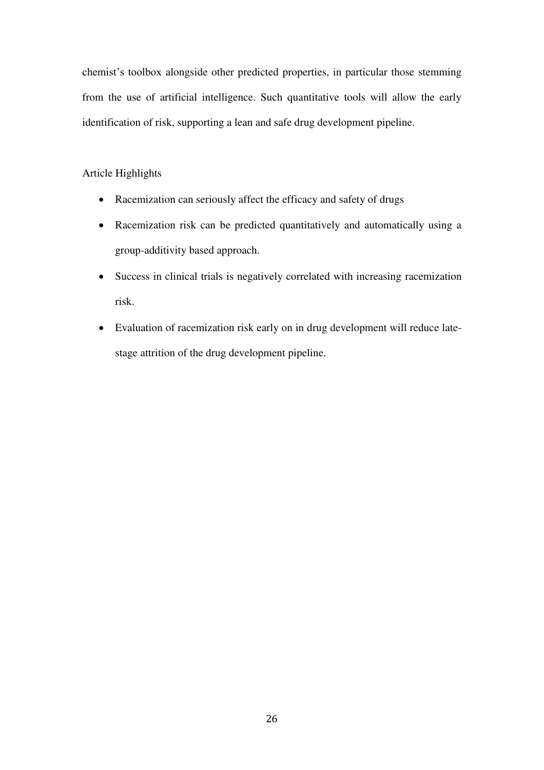chemist's toolbox alongside other predicted properties, in particular those stemming from the use of artificial intelligence. Such quantitative tools will allow the early identification of risk, supporting a lean and safe drug development pipeline.

Article Highlights

- Racemization can seriously affect the efficacy and safety of drugs
- Racemization risk can be predicted quantitatively and automatically using a group-additivity based approach.
- Success in clinical trials is negatively correlated with increasing racemization risk.
- Evaluation of racemization risk early on in drug development will reduce latestage attrition of the drug development pipeline.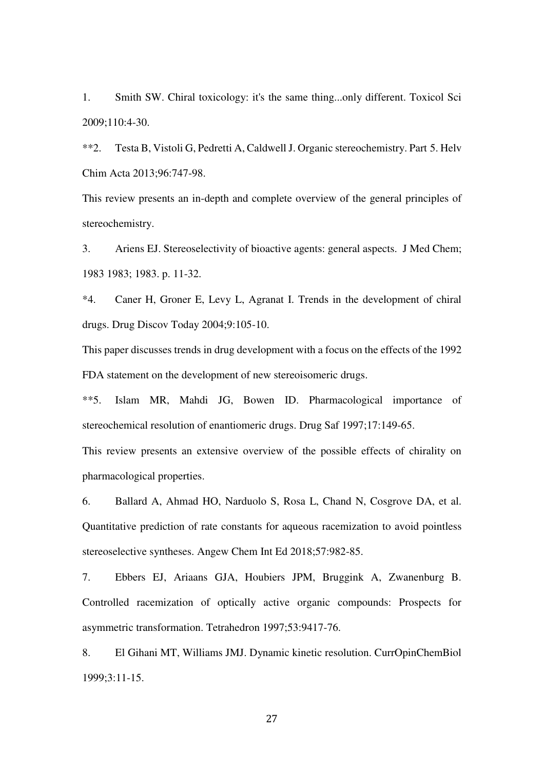1. Smith SW. Chiral toxicology: it's the same thing...only different. Toxicol Sci 2009;110:4-30.

\*\*2. Testa B, Vistoli G, Pedretti A, Caldwell J. Organic stereochemistry. Part 5. Helv Chim Acta 2013;96:747-98.

This review presents an in-depth and complete overview of the general principles of stereochemistry.

3. Ariens EJ. Stereoselectivity of bioactive agents: general aspects. J Med Chem; 1983 1983; 1983. p. 11-32.

\*4. Caner H, Groner E, Levy L, Agranat I. Trends in the development of chiral drugs. Drug Discov Today 2004;9:105-10.

This paper discusses trends in drug development with a focus on the effects of the 1992 FDA statement on the development of new stereoisomeric drugs.

\*\*5. Islam MR, Mahdi JG, Bowen ID. Pharmacological importance of stereochemical resolution of enantiomeric drugs. Drug Saf 1997;17:149-65.

This review presents an extensive overview of the possible effects of chirality on pharmacological properties.

6. Ballard A, Ahmad HO, Narduolo S, Rosa L, Chand N, Cosgrove DA, et al. Quantitative prediction of rate constants for aqueous racemization to avoid pointless stereoselective syntheses. Angew Chem Int Ed 2018;57:982-85.

7. Ebbers EJ, Ariaans GJA, Houbiers JPM, Bruggink A, Zwanenburg B. Controlled racemization of optically active organic compounds: Prospects for asymmetric transformation. Tetrahedron 1997;53:9417-76.

8. El Gihani MT, Williams JMJ. Dynamic kinetic resolution. CurrOpinChemBiol 1999;3:11-15.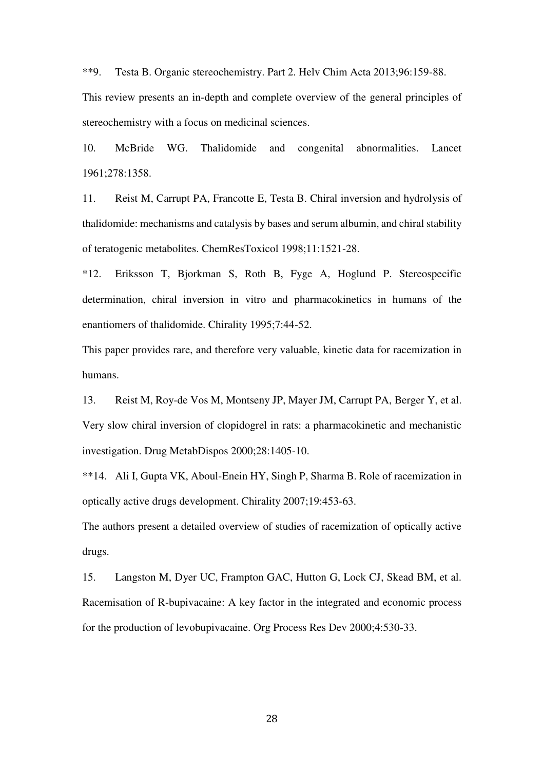\*\*9. Testa B. Organic stereochemistry. Part 2. Helv Chim Acta 2013;96:159-88.

This review presents an in-depth and complete overview of the general principles of stereochemistry with a focus on medicinal sciences.

10. McBride WG. Thalidomide and congenital abnormalities. Lancet 1961;278:1358.

11. Reist M, Carrupt PA, Francotte E, Testa B. Chiral inversion and hydrolysis of thalidomide: mechanisms and catalysis by bases and serum albumin, and chiral stability of teratogenic metabolites. ChemResToxicol 1998;11:1521-28.

\*12. Eriksson T, Bjorkman S, Roth B, Fyge A, Hoglund P. Stereospecific determination, chiral inversion in vitro and pharmacokinetics in humans of the enantiomers of thalidomide. Chirality 1995;7:44-52.

This paper provides rare, and therefore very valuable, kinetic data for racemization in humans.

13. Reist M, Roy-de Vos M, Montseny JP, Mayer JM, Carrupt PA, Berger Y, et al. Very slow chiral inversion of clopidogrel in rats: a pharmacokinetic and mechanistic investigation. Drug MetabDispos 2000;28:1405-10.

\*\*14. Ali I, Gupta VK, Aboul-Enein HY, Singh P, Sharma B. Role of racemization in optically active drugs development. Chirality 2007;19:453-63.

The authors present a detailed overview of studies of racemization of optically active drugs.

15. Langston M, Dyer UC, Frampton GAC, Hutton G, Lock CJ, Skead BM, et al. Racemisation of R-bupivacaine: A key factor in the integrated and economic process for the production of levobupivacaine. Org Process Res Dev 2000;4:530-33.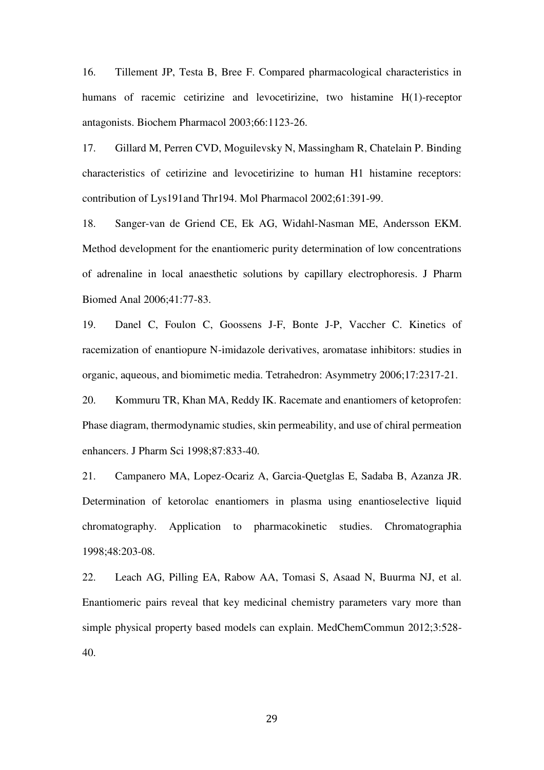16. Tillement JP, Testa B, Bree F. Compared pharmacological characteristics in humans of racemic cetirizine and levocetirizine, two histamine H(1)-receptor antagonists. Biochem Pharmacol 2003;66:1123-26.

17. Gillard M, Perren CVD, Moguilevsky N, Massingham R, Chatelain P. Binding characteristics of cetirizine and levocetirizine to human H1 histamine receptors: contribution of Lys191and Thr194. Mol Pharmacol 2002;61:391-99.

18. Sanger-van de Griend CE, Ek AG, Widahl-Nasman ME, Andersson EKM. Method development for the enantiomeric purity determination of low concentrations of adrenaline in local anaesthetic solutions by capillary electrophoresis. J Pharm Biomed Anal 2006;41:77-83.

19. Danel C, Foulon C, Goossens J-F, Bonte J-P, Vaccher C. Kinetics of racemization of enantiopure N-imidazole derivatives, aromatase inhibitors: studies in organic, aqueous, and biomimetic media. Tetrahedron: Asymmetry 2006;17:2317-21.

20. Kommuru TR, Khan MA, Reddy IK. Racemate and enantiomers of ketoprofen: Phase diagram, thermodynamic studies, skin permeability, and use of chiral permeation enhancers. J Pharm Sci 1998;87:833-40.

21. Campanero MA, Lopez-Ocariz A, Garcia-Quetglas E, Sadaba B, Azanza JR. Determination of ketorolac enantiomers in plasma using enantioselective liquid chromatography. Application to pharmacokinetic studies. Chromatographia 1998;48:203-08.

22. Leach AG, Pilling EA, Rabow AA, Tomasi S, Asaad N, Buurma NJ, et al. Enantiomeric pairs reveal that key medicinal chemistry parameters vary more than simple physical property based models can explain. MedChemCommun 2012;3:528- 40.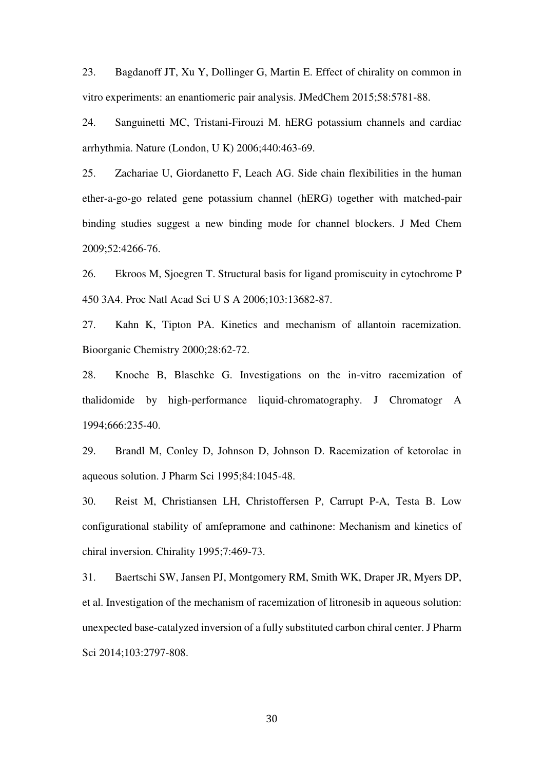23. Bagdanoff JT, Xu Y, Dollinger G, Martin E. Effect of chirality on common in vitro experiments: an enantiomeric pair analysis. JMedChem 2015;58:5781-88.

24. Sanguinetti MC, Tristani-Firouzi M. hERG potassium channels and cardiac arrhythmia. Nature (London, U K) 2006;440:463-69.

25. Zachariae U, Giordanetto F, Leach AG. Side chain flexibilities in the human ether-a-go-go related gene potassium channel (hERG) together with matched-pair binding studies suggest a new binding mode for channel blockers. J Med Chem 2009;52:4266-76.

26. Ekroos M, Sjoegren T. Structural basis for ligand promiscuity in cytochrome P 450 3A4. Proc Natl Acad Sci U S A 2006;103:13682-87.

27. Kahn K, Tipton PA. Kinetics and mechanism of allantoin racemization. Bioorganic Chemistry 2000;28:62-72.

28. Knoche B, Blaschke G. Investigations on the in-vitro racemization of thalidomide by high-performance liquid-chromatography. J Chromatogr A 1994;666:235-40.

29. Brandl M, Conley D, Johnson D, Johnson D. Racemization of ketorolac in aqueous solution. J Pharm Sci 1995;84:1045-48.

30. Reist M, Christiansen LH, Christoffersen P, Carrupt P-A, Testa B. Low configurational stability of amfepramone and cathinone: Mechanism and kinetics of chiral inversion. Chirality 1995;7:469-73.

31. Baertschi SW, Jansen PJ, Montgomery RM, Smith WK, Draper JR, Myers DP, et al. Investigation of the mechanism of racemization of litronesib in aqueous solution: unexpected base-catalyzed inversion of a fully substituted carbon chiral center. J Pharm Sci 2014;103:2797-808.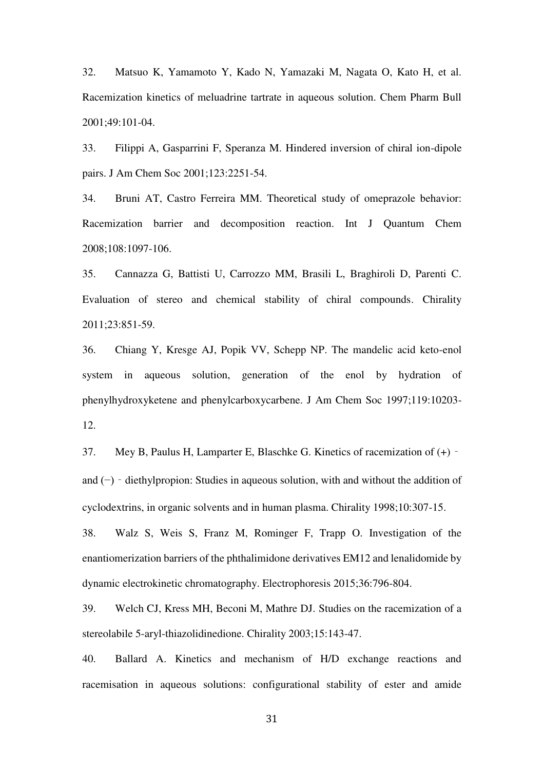32. Matsuo K, Yamamoto Y, Kado N, Yamazaki M, Nagata O, Kato H, et al. Racemization kinetics of meluadrine tartrate in aqueous solution. Chem Pharm Bull 2001;49:101-04.

33. Filippi A, Gasparrini F, Speranza M. Hindered inversion of chiral ion-dipole pairs. J Am Chem Soc 2001;123:2251-54.

34. Bruni AT, Castro Ferreira MM. Theoretical study of omeprazole behavior: Racemization barrier and decomposition reaction. Int J Quantum Chem 2008;108:1097-106.

35. Cannazza G, Battisti U, Carrozzo MM, Brasili L, Braghiroli D, Parenti C. Evaluation of stereo and chemical stability of chiral compounds. Chirality 2011;23:851-59.

36. Chiang Y, Kresge AJ, Popik VV, Schepp NP. The mandelic acid keto-enol system in aqueous solution, generation of the enol by hydration of phenylhydroxyketene and phenylcarboxycarbene. J Am Chem Soc 1997;119:10203- 12.

37. Mey B, Paulus H, Lamparter E, Blaschke G. Kinetics of racemization of  $(+)$  and (−)‐diethylpropion: Studies in aqueous solution, with and without the addition of cyclodextrins, in organic solvents and in human plasma. Chirality 1998;10:307-15.

38. Walz S, Weis S, Franz M, Rominger F, Trapp O. Investigation of the enantiomerization barriers of the phthalimidone derivatives EM12 and lenalidomide by dynamic electrokinetic chromatography. Electrophoresis 2015;36:796-804.

39. Welch CJ, Kress MH, Beconi M, Mathre DJ. Studies on the racemization of a stereolabile 5-aryl-thiazolidinedione. Chirality 2003;15:143-47.

40. Ballard A. Kinetics and mechanism of H/D exchange reactions and racemisation in aqueous solutions: configurational stability of ester and amide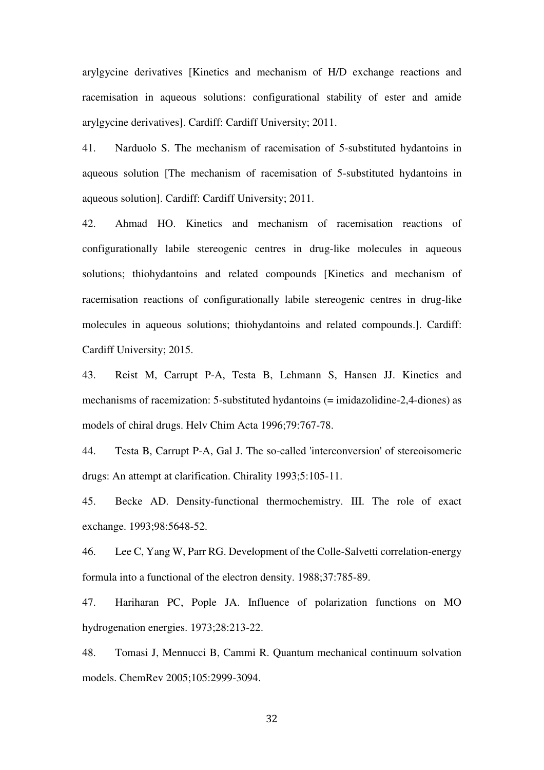arylgycine derivatives [Kinetics and mechanism of H/D exchange reactions and racemisation in aqueous solutions: configurational stability of ester and amide arylgycine derivatives]. Cardiff: Cardiff University; 2011.

41. Narduolo S. The mechanism of racemisation of 5-substituted hydantoins in aqueous solution [The mechanism of racemisation of 5-substituted hydantoins in aqueous solution]. Cardiff: Cardiff University; 2011.

42. Ahmad HO. Kinetics and mechanism of racemisation reactions of configurationally labile stereogenic centres in drug-like molecules in aqueous solutions; thiohydantoins and related compounds [Kinetics and mechanism of racemisation reactions of configurationally labile stereogenic centres in drug-like molecules in aqueous solutions; thiohydantoins and related compounds.]. Cardiff: Cardiff University; 2015.

43. Reist M, Carrupt P-A, Testa B, Lehmann S, Hansen JJ. Kinetics and mechanisms of racemization: 5-substituted hydantoins (= imidazolidine-2,4-diones) as models of chiral drugs. Helv Chim Acta 1996;79:767-78.

44. Testa B, Carrupt P-A, Gal J. The so-called 'interconversion' of stereoisomeric drugs: An attempt at clarification. Chirality 1993;5:105-11.

45. Becke AD. Density-functional thermochemistry. III. The role of exact exchange. 1993;98:5648-52.

46. Lee C, Yang W, Parr RG. Development of the Colle-Salvetti correlation-energy formula into a functional of the electron density. 1988;37:785-89.

47. Hariharan PC, Pople JA. Influence of polarization functions on MO hydrogenation energies. 1973;28:213-22.

48. Tomasi J, Mennucci B, Cammi R. Quantum mechanical continuum solvation models. ChemRev 2005;105:2999-3094.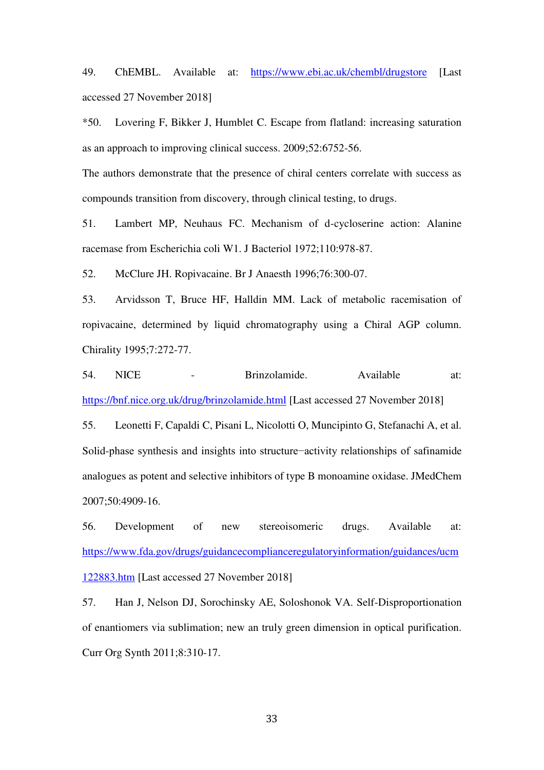49. ChEMBL. Available at: <https://www.ebi.ac.uk/chembl/drugstore>[Last accessed 27 November 2018]

\*50. Lovering F, Bikker J, Humblet C. Escape from flatland: increasing saturation as an approach to improving clinical success. 2009;52:6752-56.

The authors demonstrate that the presence of chiral centers correlate with success as compounds transition from discovery, through clinical testing, to drugs.

51. Lambert MP, Neuhaus FC. Mechanism of d-cycloserine action: Alanine racemase from Escherichia coli W1. J Bacteriol 1972;110:978-87.

52. McClure JH. Ropivacaine. Br J Anaesth 1996;76:300-07.

53. Arvidsson T, Bruce HF, Halldin MM. Lack of metabolic racemisation of ropivacaine, determined by liquid chromatography using a Chiral AGP column. Chirality 1995;7:272-77.

54. NICE - Brinzolamide. Available at: <https://bnf.nice.org.uk/drug/brinzolamide.html>[Last accessed 27 November 2018]

55. Leonetti F, Capaldi C, Pisani L, Nicolotti O, Muncipinto G, Stefanachi A, et al. Solid-phase synthesis and insights into structure−activity relationships of safinamide analogues as potent and selective inhibitors of type B monoamine oxidase. JMedChem 2007;50:4909-16.

56. Development of new stereoisomeric drugs. Available at: [https://www.fda.gov/drugs/guidancecomplianceregulatoryinformation/guidances/ucm](https://www.fda.gov/drugs/guidancecomplianceregulatoryinformation/guidances/ucm122883.htm) [122883.htm](https://www.fda.gov/drugs/guidancecomplianceregulatoryinformation/guidances/ucm122883.htm) [Last accessed 27 November 2018]

57. Han J, Nelson DJ, Sorochinsky AE, Soloshonok VA. Self-Disproportionation of enantiomers via sublimation; new an truly green dimension in optical purification. Curr Org Synth 2011;8:310-17.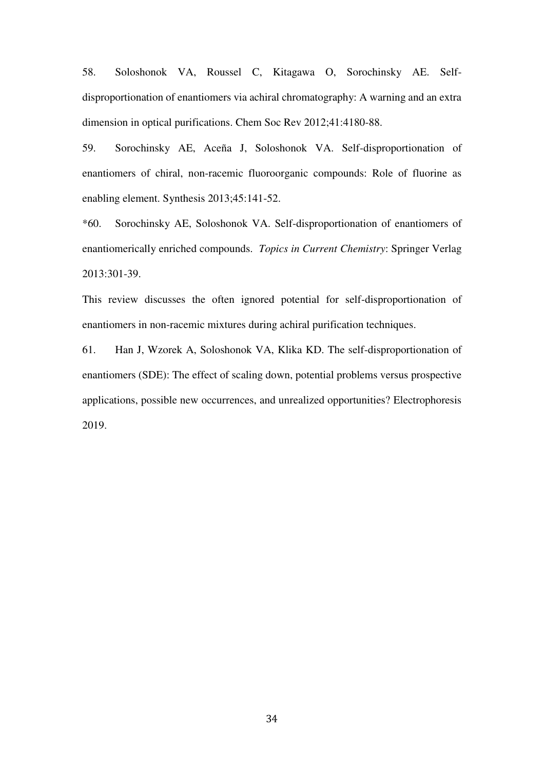58. Soloshonok VA, Roussel C, Kitagawa O, Sorochinsky AE. Selfdisproportionation of enantiomers via achiral chromatography: A warning and an extra dimension in optical purifications. Chem Soc Rev 2012;41:4180-88.

59. Sorochinsky AE, Aceña J, Soloshonok VA. Self-disproportionation of enantiomers of chiral, non-racemic fluoroorganic compounds: Role of fluorine as enabling element. Synthesis 2013;45:141-52.

\*60. Sorochinsky AE, Soloshonok VA. Self-disproportionation of enantiomers of enantiomerically enriched compounds. *Topics in Current Chemistry*: Springer Verlag 2013:301-39.

This review discusses the often ignored potential for self-disproportionation of enantiomers in non-racemic mixtures during achiral purification techniques.

61. Han J, Wzorek A, Soloshonok VA, Klika KD. The self-disproportionation of enantiomers (SDE): The effect of scaling down, potential problems versus prospective applications, possible new occurrences, and unrealized opportunities? Electrophoresis 2019.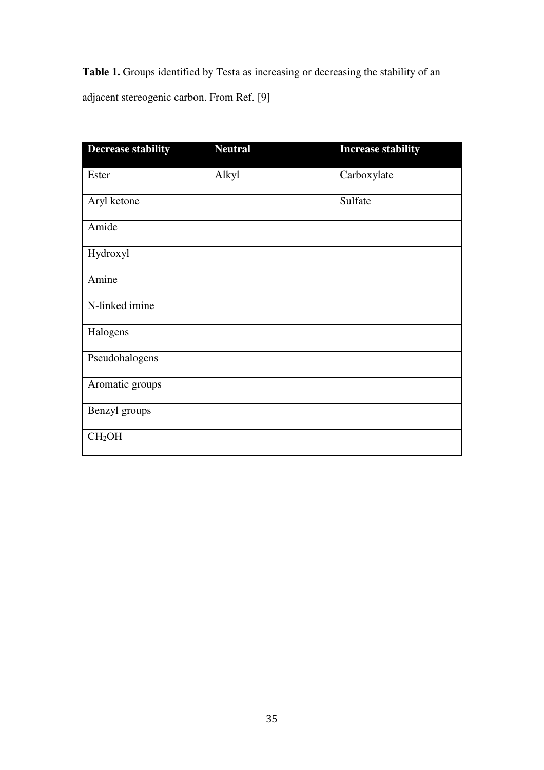**Table 1.** Groups identified by Testa as increasing or decreasing the stability of an adjacent stereogenic carbon. From Ref. [9]

| <b>Decrease stability</b> | <b>Neutral</b> | <b>Increase stability</b> |
|---------------------------|----------------|---------------------------|
| Ester                     | Alkyl          | Carboxylate               |
| Aryl ketone               |                | Sulfate                   |
| Amide                     |                |                           |
| Hydroxyl                  |                |                           |
| Amine                     |                |                           |
| N-linked imine            |                |                           |
| Halogens                  |                |                           |
| Pseudohalogens            |                |                           |
| Aromatic groups           |                |                           |
| Benzyl groups             |                |                           |
| CH <sub>2</sub> OH        |                |                           |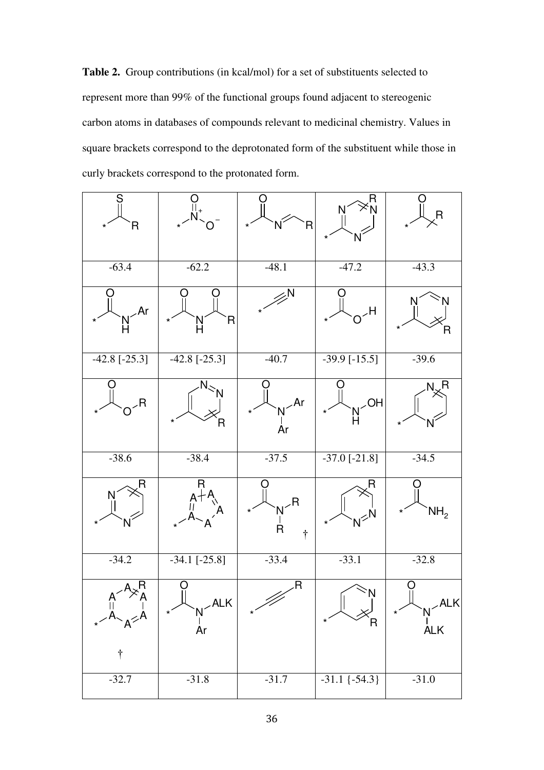**Table 2.** Group contributions (in kcal/mol) for a set of substituents selected to represent more than 99% of the functional groups found adjacent to stereogenic carbon atoms in databases of compounds relevant to medicinal chemistry. Values in square brackets correspond to the deprotonated form of the substituent while those in curly brackets correspond to the protonated form.

| S<br>R<br>$\star$                           |                         | $\overline{R}$<br>N<br>$\star$          | R                             | R                                    |
|---------------------------------------------|-------------------------|-----------------------------------------|-------------------------------|--------------------------------------|
| $-63.4$                                     | $-62.2$                 | $-48.1$                                 | $-47.2$                       | $-43.3$                              |
| Ar                                          | $\star$<br>R<br>N<br>H  | N                                       | $H_{\checkmark}$              |                                      |
| $-42.8$ [ $-25.3$ ]                         | $-42.8$ [ $-25.3$ ]     | $-40.7$                                 | $-39.9$ [ $-15.5$ ]           | $-39.6$                              |
| ,R                                          | R                       | $\lambda$ r<br><b>Ar</b>                | $\sim$ OH                     | $N_{\nu}$ R                          |
| $-38.6$                                     | $-38.4$                 | $-37.5$                                 | $-37.0[-21.8]$                | $-34.5$                              |
| R                                           | R<br>$A+A$              | $N^{-R}$<br>$\overline{R}$<br>$\dagger$ | R<br>$N^{\geq N}$             | NH <sub>2</sub><br>$\star$           |
| $-34.2$                                     | $-34.1$ $[-25.8]$       | $-33.4$                                 | $-33.1$                       | $-32.8$                              |
| $\overline{A}$<br>$A^{\leq A}$<br>$\dagger$ | U<br>ALK<br>$N^2$<br>Ar | R                                       | 'N<br>$\overline{\mathsf{R}}$ | Ő<br>$\angle$ ALK<br>N<br><b>ALK</b> |
| $-32.7$                                     | $-31.8$                 | $-31.7$                                 | $-31.1$ $\{-54.3\}$           | $-31.0$                              |
|                                             |                         |                                         |                               |                                      |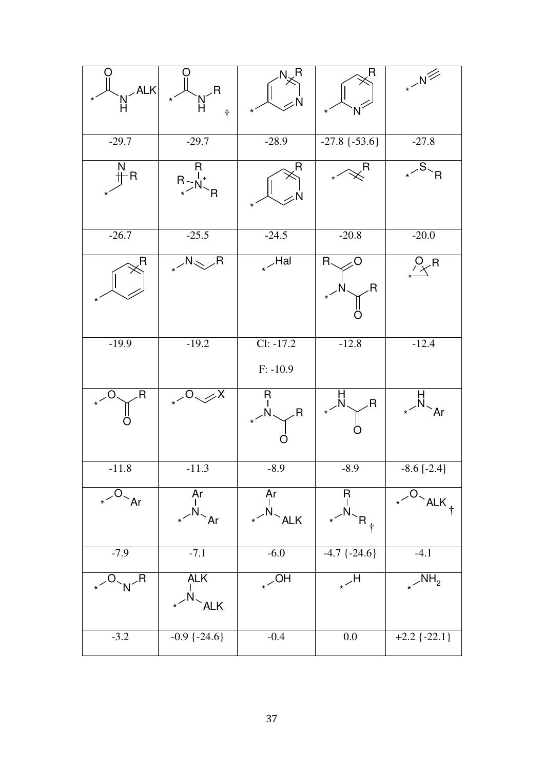| AEK <br>$\frac{N}{H}$     | $M^R$<br>$\star$<br>$\dot{\tau}$ |                                |                     | $\cdot N^{\frac{1}{\frac{1}{1-\frac{1}{1-\frac{1}{1-\frac{1}{1-\frac{1}{1-\frac{1}{1-\frac{1}{1-\frac{1}{1-\frac{1}{1-\frac{1}{1-\frac{1}{1-\frac{1}{1-\frac{1}{1-\frac{1}{1-\frac{1}{1-\frac{1}{1-\frac{1}{1-\frac{1}{1-\frac{1}{1-\frac{1}{1-\frac{1}{1-\frac{1}{1-\frac{1}{1-\frac{1}{1-\frac{1}{1-\frac{1}{1-\frac{1}{1-\frac{1}{1-\frac{1}{1-\frac{1}{1-\frac{1}{1-\frac{1}{1-\frac{1}{1-\frac{1}{1-\frac{1}{1-\$ |
|---------------------------|----------------------------------|--------------------------------|---------------------|------------------------------------------------------------------------------------------------------------------------------------------------------------------------------------------------------------------------------------------------------------------------------------------------------------------------------------------------------------------------------------------------------------------------|
| $-29.7$                   | $-29.7$                          | $-28.9$                        | $-27.8$ $\{-53.6\}$ | $-27.8$                                                                                                                                                                                                                                                                                                                                                                                                                |
| Ņ<br>-R                   | R<br>R > N<br>$\overline{R}$     | R                              |                     | $\cdot$ <sup>S</sup> $\sim$ R                                                                                                                                                                                                                                                                                                                                                                                          |
| $-26.7$                   | $-25.5$                          | $-24.5$                        | $-20.8$             | $-20.0$                                                                                                                                                                                                                                                                                                                                                                                                                |
| R                         | $R_{\star}$ $\sim$ $R_{\star}$   | $\sqrt{Ha}$                    | R.<br>R             | $P_{\times}$ R                                                                                                                                                                                                                                                                                                                                                                                                         |
| $-19.9$                   | $-19.2$                          | $Cl: -17.2$<br>$F: -10.9$      | $-12.8$             | $-12.4$                                                                                                                                                                                                                                                                                                                                                                                                                |
| R                         | $\sqrt{0}$                       | Ŗ<br>R                         | R                   | $\Delta r$                                                                                                                                                                                                                                                                                                                                                                                                             |
| $-11.8$                   | $-11.3$                          | $-8.9$                         | $-8.9$              | $-8.6$ [ $-2.4$ ]                                                                                                                                                                                                                                                                                                                                                                                                      |
| $\cdot$ <sup>-O</sup> -Ar | Ār<br>$\cdot$ <sup>N</sup> Ar    | Ar<br>$\cdot$ <sup>N</sup> ALK | H<br> <br>$R_{+}$   | $ALK_{+}$                                                                                                                                                                                                                                                                                                                                                                                                              |
| $-7.9$                    | $-7.1$                           | $-6.0$                         | $-4.7$ $\{-24.6\}$  | $-4.1$                                                                                                                                                                                                                                                                                                                                                                                                                 |
| $O_{N}$ R                 | ALK<br>$\cdot$ <sup>N</sup> ALK  | $\overline{SOH}$               | $H_{\star}$         | $\sqrt{NH_2}$                                                                                                                                                                                                                                                                                                                                                                                                          |
| $-3.2$                    | $-0.9$ { $-24.6$ }               | $-0.4$                         | 0.0                 | $+2.2$ {-22.1}                                                                                                                                                                                                                                                                                                                                                                                                         |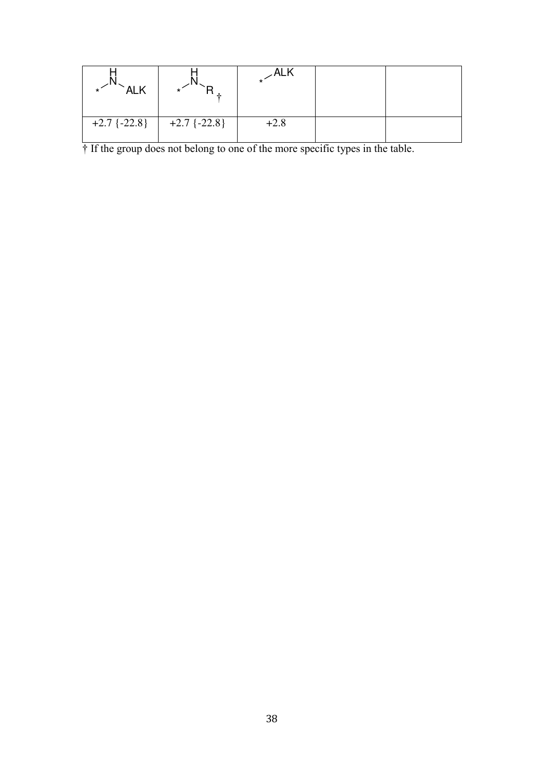| <b>ALK</b>     |                |        |  |
|----------------|----------------|--------|--|
| $+2.7$ {-22.8} | $+2.7$ {-22.8} | $+2.8$ |  |

† If the group does not belong to one of the more specific types in the table.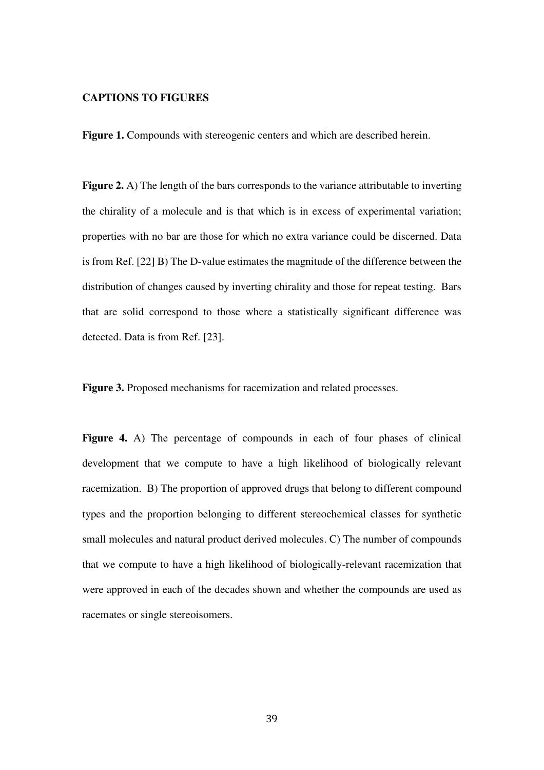# **CAPTIONS TO FIGURES**

**Figure 1.** Compounds with stereogenic centers and which are described herein.

**Figure 2.** A) The length of the bars corresponds to the variance attributable to inverting the chirality of a molecule and is that which is in excess of experimental variation; properties with no bar are those for which no extra variance could be discerned. Data is from Ref. [22] B) The D-value estimates the magnitude of the difference between the distribution of changes caused by inverting chirality and those for repeat testing. Bars that are solid correspond to those where a statistically significant difference was detected. Data is from Ref. [23].

**Figure 3.** Proposed mechanisms for racemization and related processes.

Figure 4. A) The percentage of compounds in each of four phases of clinical development that we compute to have a high likelihood of biologically relevant racemization. B) The proportion of approved drugs that belong to different compound types and the proportion belonging to different stereochemical classes for synthetic small molecules and natural product derived molecules. C) The number of compounds that we compute to have a high likelihood of biologically-relevant racemization that were approved in each of the decades shown and whether the compounds are used as racemates or single stereoisomers.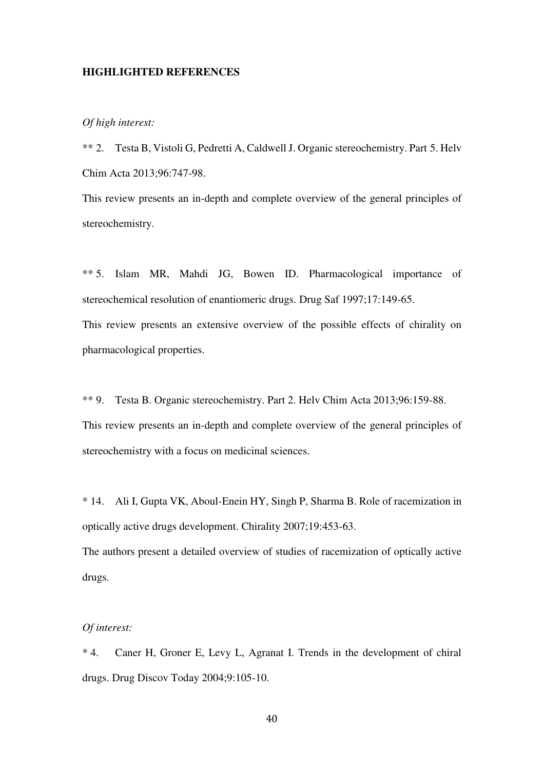#### **HIGHLIGHTED REFERENCES**

# *Of high interest:*

\*\* 2. Testa B, Vistoli G, Pedretti A, Caldwell J. Organic stereochemistry. Part 5. Helv Chim Acta 2013;96:747-98.

This review presents an in-depth and complete overview of the general principles of stereochemistry.

\*\* 5. Islam MR, Mahdi JG, Bowen ID. Pharmacological importance of stereochemical resolution of enantiomeric drugs. Drug Saf 1997;17:149-65. This review presents an extensive overview of the possible effects of chirality on pharmacological properties.

\*\* 9. Testa B. Organic stereochemistry. Part 2. Helv Chim Acta 2013;96:159-88. This review presents an in-depth and complete overview of the general principles of stereochemistry with a focus on medicinal sciences.

\* 14. Ali I, Gupta VK, Aboul-Enein HY, Singh P, Sharma B. Role of racemization in optically active drugs development. Chirality 2007;19:453-63.

The authors present a detailed overview of studies of racemization of optically active drugs.

# *Of interest:*

\* 4. Caner H, Groner E, Levy L, Agranat I. Trends in the development of chiral drugs. Drug Discov Today 2004;9:105-10.